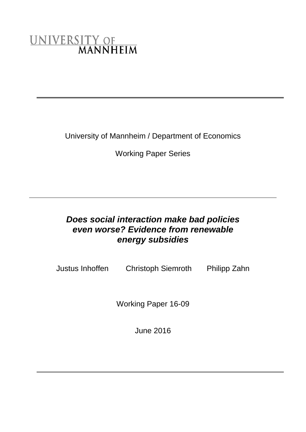# UNIVERSITY OF MANNHEIM

University of Mannheim / Department of Economics

Working Paper Series

## *Does social interaction make bad policies even worse? Evidence from renewable energy subsidies*

Justus Inhoffen Christoph Siemroth Philipp Zahn

Working Paper 16-09

June 2016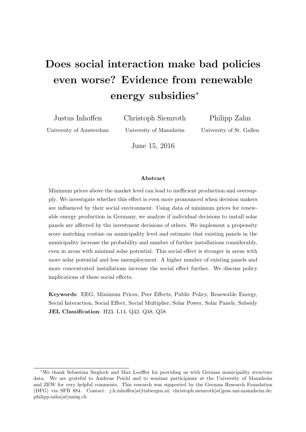## Does social interaction make bad policies even worse? Evidence from renewable energy subsidies<sup>∗</sup>

Justus Inhoffen University of Amsterdam Christoph Siemroth

University of Mannheim

Philipp Zahn University of St. Gallen

June 15, 2016

#### Abstract

Minimum prices above the market level can lead to inefficient production and oversupply. We investigate whether this effect is even more pronounced when decision makers are influenced by their social environment. Using data of minimum prices for renewable energy production in Germany, we analyze if individual decisions to install solar panels are affected by the investment decisions of others. We implement a propensity score matching routine on municipality level and estimate that existing panels in the municipality increase the probability and number of further installations considerably, even in areas with minimal solar potential. This social effect is stronger in areas with more solar potential and less unemployment. A higher number of existing panels and more concentrated installations increase the social effect further. We discuss policy implications of these social effects.

Keywords: EEG, Minimum Prices, Peer Effects, Public Policy, Renewable Energy, Social Interaction, Social Effect, Social Multiplier, Solar Power, Solar Panels, Subsidy JEL Classification: H23, L14, Q42, Q48, Q58

<sup>∗</sup>We thank Sebastian Siegloch and Max Loeffler for providing us with German municipality structure data. We are grateful to Andreas Peichl and to seminar participants at the University of Mannheim and ZEW for very helpful comments. This research was supported by the German Research Foundation (DFG) via SFB 884. Contact: j.h.inhoffen[at]tinbergen.nl; christoph.siemroth[at]gess.uni-mannheim.de; philipp.zahn[at]unisg.ch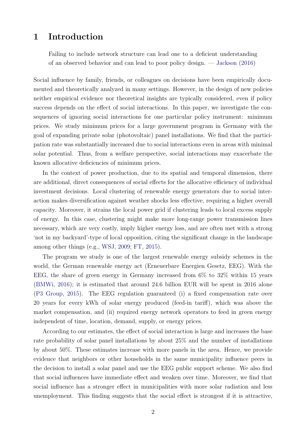## 1 Introduction

Failing to include network structure can lead one to a deficient understanding of an observed behavior and can lead to poor policy design. — [Jackson](#page-33-0) [\(2016\)](#page-33-0)

Social influence by family, friends, or colleagues on decisions have been empirically documented and theoretically analyzed in many settings. However, in the design of new policies neither empirical evidence nor theoretical insights are typically considered, even if policy success depends on the effect of social interactions. In this paper, we investigate the consequences of ignoring social interactions for one particular policy instrument: minimum prices. We study minimum prices for a large government program in Germany with the goal of expanding private solar (photovoltaic) panel installations. We find that the participation rate was substantially increased due to social interactions even in areas with minimal solar potential. Thus, from a welfare perspective, social interactions may exacerbate the known allocative deficiencies of minimum prices.

In the context of power production, due to its spatial and temporal dimension, there are additional, direct consequences of social effects for the allocative efficiency of individual investment decisions. Local clustering of renewable energy generators due to social interaction makes diversification against weather shocks less effective, requiring a higher overall capacity. Moreover, it strains the local power grid if clustering leads to local excess supply of energy. In this case, clustering might make more long-range power transmission lines necessary, which are very costly, imply higher energy loss, and are often met with a strong 'not in my backyard'-type of local opposition, citing the significant change in the landscape among other things (e.g., [WSJ,](#page-34-0) [2009;](#page-34-0) [FT,](#page-33-1) [2015\)](#page-33-1).

The program we study is one of the largest renewable energy subsidy schemes in the world, the German renewable energy act (Erneuerbare Energien Gesetz, EEG). With the EEG, the share of green energy in Germany increased from 6% to 32% within 15 years [\(BMWi,](#page-32-0) [2016\)](#page-32-0); it is estimated that around 24.6 billion EUR will be spent in 2016 alone [\(P3 Group,](#page-34-1) [2015\)](#page-34-1). The EEG regulation guaranteed (i) a fixed compensation rate over 20 years for every kWh of solar energy produced (feed-in tariff), which was above the market compensation, and (ii) required energy network operators to feed in green energy independent of time, location, demand, supply, or energy prices.

According to our estimates, the effect of social interaction is large and increases the base rate probability of solar panel installations by about 25% and the number of installations by about 50%. These estimates increase with more panels in the area. Hence, we provide evidence that neighbors or other households in the same municipality influence peers in the decision to install a solar panel and use the EEG public support scheme. We also find that social influences have immediate effect and weaken over time. Moreover, we find that social influence has a stronger effect in municipalities with more solar radiation and less unemployment. This finding suggests that the social effect is strongest if it is attractive,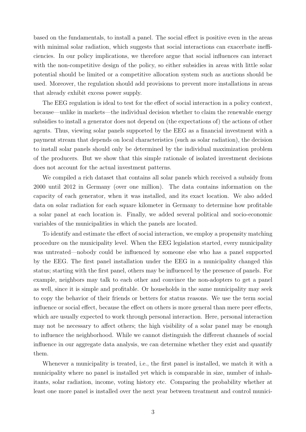based on the fundamentals, to install a panel. The social effect is positive even in the areas with minimal solar radiation, which suggests that social interactions can exacerbate inefficiencies. In our policy implications, we therefore argue that social influences can interact with the non-competitive design of the policy, so either subsidies in areas with little solar potential should be limited or a competitive allocation system such as auctions should be used. Moreover, the regulation should add provisions to prevent more installations in areas that already exhibit excess power supply.

The EEG regulation is ideal to test for the effect of social interaction in a policy context, because—unlike in markets—the individual decision whether to claim the renewable energy subsidies to install a generator does not depend on (the expectations of) the actions of other agents. Thus, viewing solar panels supported by the EEG as a financial investment with a payment stream that depends on local characteristics (such as solar radiation), the decision to install solar panels should only be determined by the individual maximization problem of the producers. But we show that this simple rationale of isolated investment decisions does not account for the actual investment patterns.

We compiled a rich dataset that contains all solar panels which received a subsidy from 2000 until 2012 in Germany (over one million). The data contains information on the capacity of each generator, when it was installed, and its exact location. We also added data on solar radiation for each square kilometer in Germany to determine how profitable a solar panel at each location is. Finally, we added several political and socio-economic variables of the municipalities in which the panels are located.

To identify and estimate the effect of social interaction, we employ a propensity matching procedure on the municipality level. When the EEG legislation started, every municipality was untreated—nobody could be influenced by someone else who has a panel supported by the EEG. The first panel installation under the EEG in a municipality changed this status; starting with the first panel, others may be influenced by the presence of panels. For example, neighbors may talk to each other and convince the non-adopters to get a panel as well, since it is simple and profitable. Or households in the same municipality may seek to copy the behavior of their friends or betters for status reasons. We use the term social influence or social effect, because the effect on others is more general than mere peer effects, which are usually expected to work through personal interaction. Here, personal interaction may not be necessary to affect others; the high visibility of a solar panel may be enough to influence the neighborhood. While we cannot distinguish the different channels of social influence in our aggregate data analysis, we can determine whether they exist and quantify them.

Whenever a municipality is treated, i.e., the first panel is installed, we match it with a municipality where no panel is installed yet which is comparable in size, number of inhabitants, solar radiation, income, voting history etc. Comparing the probability whether at least one more panel is installed over the next year between treatment and control munici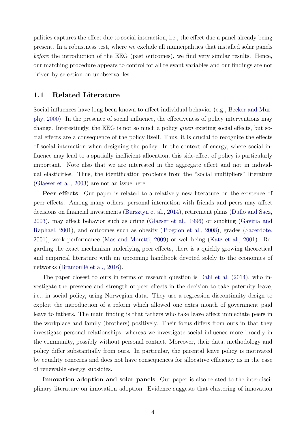palities captures the effect due to social interaction, i.e., the effect due a panel already being present. In a robustness test, where we exclude all municipalities that installed solar panels before the introduction of the EEG (past outcomes), we find very similar results. Hence, our matching procedure appears to control for all relevant variables and our findings are not driven by selection on unobservables.

#### 1.1 Related Literature

Social influences have long been known to affect individual behavior (e.g., [Becker and Mur](#page-32-1)[phy,](#page-32-1) [2000\)](#page-32-1). In the presence of social influence, the effectiveness of policy interventions may change. Interestingly, the EEG is not so much a policy given existing social effects, but social effects are a consequence of the policy itself. Thus, it is crucial to recognize the effects of social interaction when designing the policy. In the context of energy, where social influence may lead to a spatially inefficient allocation, this side-effect of policy is particularly important. Note also that we are interested in the aggregate effect and not in individual elasticities. Thus, the identification problems from the "social multipliers" literature [\(Glaeser et al.,](#page-33-2) [2003\)](#page-33-2) are not an issue here.

Peer effects. Our paper is related to a relatively new literature on the existence of peer effects. Among many others, personal interaction with friends and peers may affect decisions on financial investments [\(Bursztyn et al.,](#page-33-3) [2014\)](#page-33-3), retirement plans [\(Duflo and Saez,](#page-33-4) [2003\)](#page-33-4), may affect behavior such as crime [\(Glaeser et al.,](#page-33-5) [1996\)](#page-33-5) or smoking [\(Gaviria and](#page-33-6) [Raphael,](#page-33-6) [2001\)](#page-33-6), and outcomes such as obesity [\(Trogdon et al.,](#page-34-2) [2008\)](#page-34-2), grades [\(Sacerdote,](#page-34-3) [2001\)](#page-34-3), work performance [\(Mas and Moretti,](#page-33-7) [2009\)](#page-33-7) or well-being [\(Katz et al.,](#page-33-8) [2001\)](#page-33-8). Regarding the exact mechanism underlying peer effects, there is a quickly growing theoretical and empirical literature with an upcoming handbook devoted solely to the economics of networks (Bramoullé et al., [2016\)](#page-33-9).

The paper closest to ours in terms of research question is [Dahl et al.](#page-33-10) [\(2014\)](#page-33-10), who investigate the presence and strength of peer effects in the decision to take paternity leave, i.e., in social policy, using Norwegian data. They use a regression discontinuity design to exploit the introduction of a reform which allowed one extra month of government paid leave to fathers. The main finding is that fathers who take leave affect immediate peers in the workplace and family (brothers) positively. Their focus differs from ours in that they investigate personal relationships, whereas we investigate social influence more broadly in the community, possibly without personal contact. Moreover, their data, methodology and policy differ substantially from ours. In particular, the parental leave policy is motivated by equality concerns and does not have consequences for allocative efficiency as in the case of renewable energy subsidies.

Innovation adoption and solar panels. Our paper is also related to the interdisciplinary literature on innovation adoption. Evidence suggests that clustering of innovation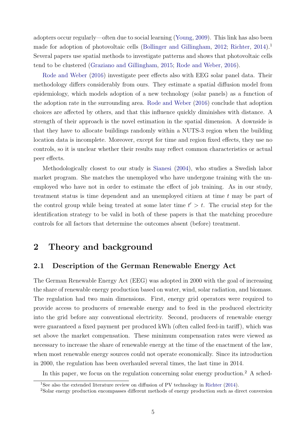adopters occur regularly—often due to social learning [\(Young,](#page-34-4) [2009\)](#page-34-4). This link has also been made for adoption of photovoltaic cells [\(Bollinger and Gillingham,](#page-32-2)  $2012$  $2012$  $2012$ ; [Richter,](#page-34-5)  $2014$ ).<sup>1</sup> Several papers use spatial methods to investigate patterns and shows that photovoltaic cells tend to be clustered [\(Graziano and Gillingham,](#page-33-11) [2015;](#page-33-11) [Rode and Weber,](#page-34-6) [2016\)](#page-34-6).

[Rode and Weber](#page-34-6) [\(2016\)](#page-34-6) investigate peer effects also with EEG solar panel data. Their methodology differs considerably from ours. They estimate a spatial diffusion model from epidemiology, which models adoption of a new technology (solar panels) as a function of the adoption rate in the surrounding area. [Rode and Weber](#page-34-6) [\(2016\)](#page-34-6) conclude that adoption choices are affected by others, and that this influence quickly diminishes with distance. A strength of their approach is the novel estimation in the spatial dimension. A downside is that they have to allocate buildings randomly within a NUTS-3 region when the building location data is incomplete. Moreover, except for time and region fixed effects, they use no controls, so it is unclear whether their results may reflect common characteristics or actual peer effects.

Methodologically closest to our study is [Sianesi](#page-34-7) [\(2004\)](#page-34-7), who studies a Swedish labor market program. She matches the unemployed who have undergone training with the unemployed who have not in order to estimate the effect of job training. As in our study, treatment status is time dependent and an unemployed citizen at time  $t$  may be part of the control group while being treated at some later time  $t' > t$ . The crucial step for the identification strategy to be valid in both of these papers is that the matching procedure controls for all factors that determine the outcomes absent (before) treatment.

## 2 Theory and background

#### <span id="page-5-2"></span>2.1 Description of the German Renewable Energy Act

The German Renewable Energy Act (EEG) was adopted in 2000 with the goal of increasing the share of renewable energy production based on water, wind, solar radiation, and biomass. The regulation had two main dimensions. First, energy grid operators were required to provide access to producers of renewable energy and to feed in the produced electricity into the grid before any conventional electricity. Second, producers of renewable energy were guaranteed a fixed payment per produced kWh (often called feed-in tariff), which was set above the market compensation. These minimum compensation rates were viewed as necessary to increase the share of renewable energy at the time of the enactment of the law, when most renewable energy sources could not operate economically. Since its introduction in 2000, the regulation has been overhauled several times, the last time in 2014.

In this paper, we focus on the regulation concerning solar energy production.<sup>[2](#page-5-1)</sup> A sched-

<span id="page-5-0"></span><sup>1</sup>See also the extended literature review on diffusion of PV technology in [Richter](#page-34-5) [\(2014\)](#page-34-5).

<span id="page-5-1"></span><sup>2</sup>Solar energy production encompasses different methods of energy production such as direct conversion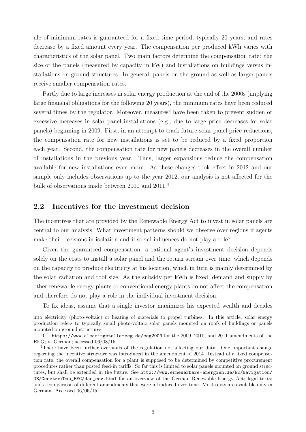ule of minimum rates is guaranteed for a fixed time period, typically 20 years, and rates decrease by a fixed amount every year. The compensation per produced kWh varies with characteristics of the solar panel. Two main factors determine the compensation rate: the size of the panels (measured by capacity in kW) and installations on buildings versus installations on ground structures. In general, panels on the ground as well as larger panels receive smaller compensation rates.

Partly due to large increases in solar energy production at the end of the 2000s (implying large financial obligations for the following 20 years), the minimum rates have been reduced several times by the regulator. Moreover, measures<sup>[3](#page-6-0)</sup> have been taken to prevent sudden or excessive increases in solar panel installations (e.g., due to large price decreases for solar panels) beginning in 2009. First, in an attempt to track future solar panel price reductions, the compensation rate for new installations is set to be reduced by a fixed proportion each year. Second, the compensation rate for new panels decreases in the overall number of installations in the previous year. Thus, larger expansions reduce the compensation available for new installations even more. As these changes took effect in 2012 and our sample only includes observations up to the year 2012, our analysis is not affected for the bulk of observations made between 2000 and 2011.[4](#page-6-1)

#### 2.2 Incentives for the investment decision

The incentives that are provided by the Renewable Energy Act to invest in solar panels are central to our analysis. What investment patterns should we observe over regions if agents make their decisions in isolation and if social influences do not play a role?

Given the guaranteed compensation, a rational agent's investment decision depends solely on the costs to install a solar panel and the return stream over time, which depends on the capacity to produce electricity at his location, which in turn is mainly determined by the solar radiation and roof size. As the subsidy per kWh is fixed, demand and supply by other renewable energy plants or conventional energy plants do not affect the compensation and therefore do not play a role in the individual investment decision.

To fix ideas, assume that a single investor maximizes his expected wealth and decides

into electricity (photo-voltaic) or heating of materials to propel turbines. In this article, solar energy production refers to typically small photo-voltaic solar panels mounted on roofs of buildings or panels mounted on ground structures.

<span id="page-6-0"></span><sup>3</sup>Cf. <https://www.clearingstelle-eeg.de/eeg2009> for the 2009, 2010, and 2011 amendments of the EEG; in German; accessed 06/08/15.

<span id="page-6-1"></span><sup>&</sup>lt;sup>4</sup>There have been further overhauls of the regulation not affecting our data. One important change regarding the incentive structure was introduced in the amendment of 2014. Instead of a fixed compensation rate, the overall compensation for a plant is supposed to be determined by competitive procurement procedures rather than posted feed-in tariffs. So far this is limited to solar panels mounted on ground structures, but shall be extended in the future. See [http://www.erneuerbare-energien.de/EE/Navigation/](http://www.erneuerbare-energien.de/EE/Navigation/DE/Gesetze/Das_EEG/das_eeg.html) [DE/Gesetze/Das\\_EEG/das\\_eeg.html](http://www.erneuerbare-energien.de/EE/Navigation/DE/Gesetze/Das_EEG/das_eeg.html) for an overview of the German Renewable Energy Act; legal texts; and a comparison of different amendments that were introduced over time. Most texts are available only in German. Accessed 06/06/15.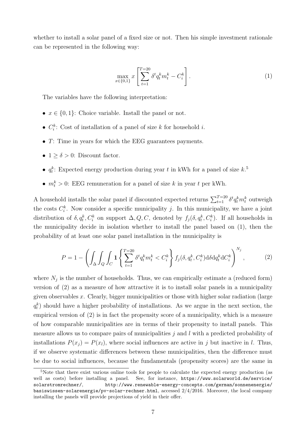whether to install a solar panel of a fixed size or not. Then his simple investment rationale can be represented in the following way:

$$
\max_{x \in \{0,1\}} x \left[ \sum_{t=1}^{T=20} \delta^t q_t^k m_t^k - C_i^k \right]. \tag{1}
$$

<span id="page-7-1"></span>The variables have the following interpretation:

- $x \in \{0, 1\}$ : Choice variable. Install the panel or not.
- $C_i^k$ : Cost of installation of a panel of size k for household i.
- T: Time in years for which the EEG guarantees payments.
- $1 \ge \delta > 0$ : Discount factor.
- $q_t^k$ : Expected energy production during year t in kWh for a panel of size  $k$ .<sup>[5](#page-7-0)</sup>
- $m_t^k > 0$ : EEG remuneration for a panel of size k in year t per kWh.

A household installs the solar panel if discounted expected returns  $\sum_{t=1}^{T=20} \delta^t q_t^k m_t^k$  outweigh the costs  $C_i^k$ . Now consider a specific municipality j. In this municipality, we have a joint distribution of  $\delta, q_t^k, C_i^k$  on support  $\Delta, Q, C$ , denoted by  $f_j(\delta, q_t^k, C_i^k)$ . If all households in the municipality decide in isolation whether to install the panel based on [\(1\)](#page-7-1), then the probability of at least one solar panel installation in the municipality is

$$
P = 1 - \left( \int_{\Delta} \int_{Q} \int_{C} \mathbf{1} \left\{ \sum_{t=1}^{T=20} \delta^{t} q_{t}^{k} m_{t}^{k} < C_{i}^{k} \right\} f_{j}(\delta, q_{t}^{k}, C_{i}^{k}) \mathrm{d}\delta \mathrm{d} q_{t}^{k} \mathrm{d} C_{i}^{k} \right)^{N_{j}},\tag{2}
$$

<span id="page-7-2"></span>where  $N_j$  is the number of households. Thus, we can empirically estimate a (reduced form) version of [\(2\)](#page-7-2) as a measure of how attractive it is to install solar panels in a municipality given observables x. Clearly, bigger municipalities or those with higher solar radiation (large  $q_t^k$ ) should have a higher probability of installations. As we argue in the next section, the empirical version of [\(2\)](#page-7-2) is in fact the propensity score of a municipality, which is a measure of how comparable municipalities are in terms of their propensity to install panels. This measure allows us to compare pairs of municipalities  $j$  and  $l$  with a predicted probability of installations  $P(x_i) = P(x_i)$ , where social influences are active in j but inactive in l. Thus, if we observe systematic differences between these municipalities, then the difference must be due to social influences, because the fundamentals (propensity scores) are the same in

<span id="page-7-0"></span><sup>5</sup>Note that there exist various online tools for people to calculate the expected energy production (as well as costs) before installing a panel. See, for instance, [https://www.solarworld.de/service/](https://www.solarworld.de/service/solarstromrechner/) [solarstromrechner/](https://www.solarworld.de/service/solarstromrechner/), [http://www.renewable-energy-concepts.com/german/sonnenenergie/](http://www.renewable-energy-concepts.com/german/sonnenenergie/basiswissen-solarenergie/pv-solar-rechner.html) [basiswissen-solarenergie/pv-solar-rechner.html](http://www.renewable-energy-concepts.com/german/sonnenenergie/basiswissen-solarenergie/pv-solar-rechner.html), accessed 2/4/2016. Moreover, the local company installing the panels will provide projections of yield in their offer.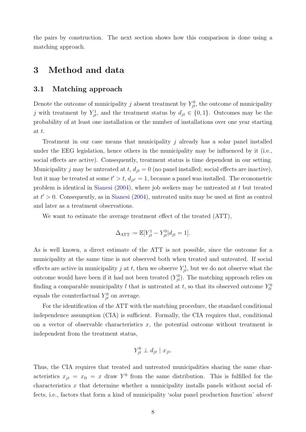the pairs by construction. The next section shows how this comparison is done using a matching approach.

## 3 Method and data

#### 3.1 Matching approach

Denote the outcome of municipality j absent treatment by  $Y_{jt}^0$ , the outcome of municipality j with treatment by  $Y_{jt}^1$ , and the treatment status by  $d_{jt} \in \{0,1\}$ . Outcomes may be the probability of at least one installation or the number of installations over one year starting at t.

Treatment in our case means that municipality  $j$  already has a solar panel installed under the EEG legislation, hence others in the municipality may be influenced by it (i.e., social effects are active). Consequently, treatment status is time dependent in our setting. Municipality j may be untreated at t,  $d_{jt} = 0$  (no panel installed; social effects are inactive), but it may be treated at some  $t' > t$ ,  $d_{jt'} = 1$ , because a panel was installed. The econometric problem is identical in [Sianesi](#page-34-7) [\(2004\)](#page-34-7), where job seekers may be untreated at t but treated at  $t' > 0$ . Consequently, as in [Sianesi](#page-34-7) [\(2004\)](#page-34-7), untreated units may be used at first as control and later as a treatment observations.

We want to estimate the average treatment effect of the treated (ATT),

$$
\Delta_{\text{ATT}} := \mathbb{E}[Y_{jt}^1 - Y_{jt}^0 | d_{jt} = 1].
$$

As is well known, a direct estimate of the ATT is not possible, since the outcome for a municipality at the same time is not observed both when treated and untreated. If social effects are active in municipality j at t, then we observe  $Y_{jt}^1$ , but we do not observe what the outcome would have been if it had not been treated  $(Y_{jt}^0)$ . The matching approach relies on finding a comparable municipality l that is untreated at t, so that its observed outcome  $Y_{lt}^0$ equals the counterfactual  $Y_{jt}^0$  on average.

For the identification of the ATT with the matching procedure, the standard conditional independence assumption (CIA) is sufficient. Formally, the CIA requires that, conditional on a vector of observable characteristics  $x$ , the potential outcome without treatment is independent from the treatment status,

$$
Y_{jt}^0 \perp d_{jt} \mid x_{jt}.
$$

Thus, the CIA requires that treated and untreated municipalities sharing the same characteristics  $x_{jt} = x_{lt} = x$  draw  $Y^0$  from the same distribution. This is fulfilled for the characteristics  $x$  that determine whether a municipality installs panels without social effects, i.e., factors that form a kind of municipality 'solar panel production function' absent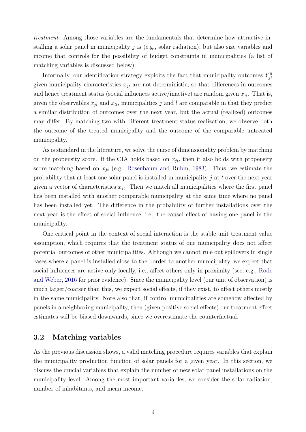treatment. Among those variables are the fundamentals that determine how attractive installing a solar panel in municipality  $j$  is (e.g., solar radiation), but also size variables and income that controls for the possibility of budget constraints in municipalities (a list of matching variables is discussed below).

Informally, our identification strategy exploits the fact that municipality outcomes  $Y_{jt}^0$ given municipality characteristics  $x_{jt}$  are not deterministic, so that differences in outcomes and hence treatment status (social influences active/inactive) are random given  $x_{it}$ . That is, given the observables  $x_{jt}$  and  $x_{lt}$ , municipalities j and l are comparable in that they predict a similar distribution of outcomes over the next year, but the actual (realized) outcomes may differ. By matching two with different treatment status realization, we observe both the outcome of the treated municipality and the outcome of the comparable untreated municipality.

As is standard in the literature, we solve the curse of dimensionality problem by matching on the propensity score. If the CIA holds based on  $x_{jt}$ , then it also holds with propensity score matching based on  $x_{jt}$  (e.g., [Rosenbaum and Rubin,](#page-34-8) [1983\)](#page-34-8). Thus, we estimate the probability that at least one solar panel is installed in municipality  $j$  at  $t$  over the next year given a vector of characteristics  $x_{jt}$ . Then we match all municipalities where the first panel has been installed with another comparable municipality at the same time where no panel has been installed yet. The difference in the probability of further installations over the next year is the effect of social influence, i.e., the causal effect of having one panel in the municipality.

One critical point in the context of social interaction is the stable unit treatment value assumption, which requires that the treatment status of one municipality does not affect potential outcomes of other municipalities. Although we cannot rule out spillovers in single cases where a panel is installed close to the border to another municipality, we expect that social influences are active only locally, i.e., affect others only in proximity (see, e.g., [Rode](#page-34-6) [and Weber,](#page-34-6) [2016](#page-34-6) for prior evidence). Since the municipality level (our unit of observation) is much larger/coarser than this, we expect social effects, if they exist, to affect others mostly in the same municipality. Note also that, if control municipalities are somehow affected by panels in a neighboring municipality, then (given positive social effects) our treatment effect estimates will be biased downwards, since we overestimate the counterfactual.

#### 3.2 Matching variables

As the previous discussion shows, a valid matching procedure requires variables that explain the municipality production function of solar panels for a given year. In this section, we discuss the crucial variables that explain the number of new solar panel installations on the municipality level. Among the most important variables, we consider the solar radiation, number of inhabitants, and mean income.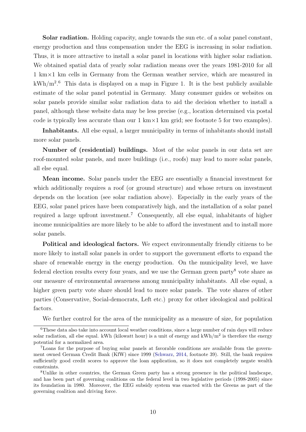Solar radiation. Holding capacity, angle towards the sun etc. of a solar panel constant, energy production and thus compensation under the EEG is increasing in solar radiation. Thus, it is more attractive to install a solar panel in locations with higher solar radiation. We obtained spatial data of yearly solar radiation means over the years 1981-2010 for all 1 km×1 km cells in Germany from the German weather service, which are measured in  $kWh/m<sup>2.6</sup>$  $kWh/m<sup>2.6</sup>$  $kWh/m<sup>2.6</sup>$  This data is displayed on a map in Figure [1.](#page-11-0) It is the best publicly available estimate of the solar panel potential in Germany. Many consumer guides or websites on solar panels provide similar solar radiation data to aid the decision whether to install a panel, although these website data may be less precise (e.g., location determined via postal code is typically less accurate than our  $1 \text{ km} \times 1 \text{ km}$  grid; see footnote [5](#page-7-0) for two examples).

Inhabitants. All else equal, a larger municipality in terms of inhabitants should install more solar panels.

Number of (residential) buildings. Most of the solar panels in our data set are roof-mounted solar panels, and more buildings (i.e., roofs) may lead to more solar panels, all else equal.

Mean income. Solar panels under the EEG are essentially a financial investment for which additionally requires a roof (or ground structure) and whose return on investment depends on the location (see solar radiation above). Especially in the early years of the EEG, solar panel prices have been comparatively high, and the installation of a solar panel required a large upfront investment.[7](#page-10-1) Consequently, all else equal, inhabitants of higher income municipalities are more likely to be able to afford the investment and to install more solar panels.

Political and ideological factors. We expect environmentally friendly citizens to be more likely to install solar panels in order to support the government efforts to expand the share of renewable energy in the energy production. On the municipality level, we have federal election results every four years, and we use the German green party<sup>[8](#page-10-2)</sup> vote share as our measure of environmental awareness among municipality inhabitants. All else equal, a higher green party vote share should lead to more solar panels. The vote shares of other parties (Conservative, Social-democrats, Left etc.) proxy for other ideological and political factors.

We further control for the area of the municipality as a measure of size, for population

<span id="page-10-0"></span> $6$ These data also take into account local weather conditions, since a large number of rain days will reduce solar radiation, all else equal. kWh (kilowatt hour) is a unit of energy and  $kWh/m^2$  is therefore the energy potential for a normalized area.

<span id="page-10-1"></span><sup>7</sup>Loans for the purpose of buying solar panels at favorable conditions are available from the government owned German Credit Bank (KfW) since 1999 [\(Schwarz,](#page-34-9) [2014,](#page-34-9) footnote 39). Still, the bank requires sufficiently good credit scores to approve the loan application, so it does not completely negate wealth constraints.

<span id="page-10-2"></span><sup>8</sup>Unlike in other countries, the German Green party has a strong presence in the political landscape, and has been part of governing coalitions on the federal level in two legislative periods (1998-2005) since its foundation in 1980. Moreover, the EEG subsidy system was enacted with the Greens as part of the governing coalition and driving force.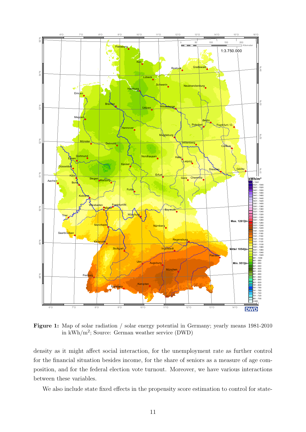<span id="page-11-0"></span>

Figure 1: Map of solar radiation / solar energy potential in Germany; yearly means 1981-2010 in kWh/m<sup>2</sup> ; Source: German weather service (DWD)

density as it might affect social interaction, for the unemployment rate as further control for the financial situation besides income, for the share of seniors as a measure of age composition, and for the federal election vote turnout. Moreover, we have various interactions between these variables.

We also include state fixed effects in the propensity score estimation to control for state-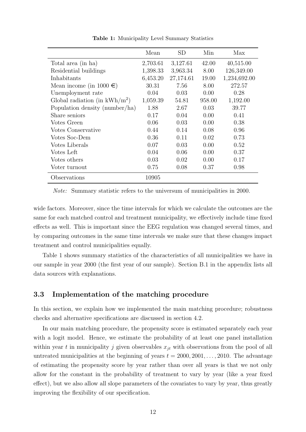<span id="page-12-0"></span>

|                                  | Mean     | <b>SD</b> | Min    | Max          |
|----------------------------------|----------|-----------|--------|--------------|
| Total area (in ha)               | 2,703.61 | 3,127.61  | 42.00  | 40,515.00    |
| Residential buildings            | 1,398.33 | 3,963.34  | 8.00   | 126,349.00   |
| Inhabitants                      | 6,453.20 | 27,174.61 | 19.00  | 1,234,692.00 |
| Mean income (in 1000 $\in$ )     | 30.31    | 7.56      | 8.00   | 272.57       |
| Unemployment rate                | 0.04     | 0.03      | 0.00   | 0.28         |
| Global radiation (in $kWh/m^2$ ) | 1,059.39 | 54.81     | 958.00 | 1,192.00     |
| Population density (number/ha)   | 1.88     | 2.67      | 0.03   | 39.77        |
| Share seniors                    | 0.17     | 0.04      | 0.00   | 0.41         |
| Votes Green                      | 0.06     | 0.03      | 0.00   | 0.38         |
| Votes Conservative               | 0.44     | 0.14      | 0.08   | 0.96         |
| Votes Soc-Dem                    | 0.36     | 0.11      | 0.02   | 0.73         |
| Votes Liberals                   | 0.07     | 0.03      | 0.00   | 0.52         |
| Votes Left                       | 0.04     | 0.06      | 0.00   | 0.37         |
| Votes others                     | 0.03     | 0.02      | 0.00   | 0.17         |
| Voter turnout                    | 0.75     | 0.08      | 0.37   | 0.98         |
| Observations                     | 10905    |           |        |              |

Table 1: Municipality Level Summary Statistics

Note: Summary statistic refers to the universum of municipalities in 2000.

wide factors. Moreover, since the time intervals for which we calculate the outcomes are the same for each matched control and treatment municipality, we effectively include time fixed effects as well. This is important since the EEG regulation was changed several times, and by comparing outcomes in the same time intervals we make sure that these changes impact treatment and control municipalities equally.

Table [1](#page-12-0) shows summary statistics of the characteristics of all municipalities we have in our sample in year 2000 (the first year of our sample). Section [B.1](#page-36-0) in the appendix lists all data sources with explanations.

#### 3.3 Implementation of the matching procedure

In this section, we explain how we implemented the main matching procedure; robustness checks and alternative specifications are discussed in section [4.2.](#page-27-0)

In our main matching procedure, the propensity score is estimated separately each year with a logit model. Hence, we estimate the probability of at least one panel installation within year t in municipality j given observables  $x_{it}$  with observations from the pool of all untreated municipalities at the beginning of years  $t = 2000, 2001, \ldots, 2010$ . The advantage of estimating the propensity score by year rather than over all years is that we not only allow for the constant in the probability of treatment to vary by year (like a year fixed effect), but we also allow all slope parameters of the covariates to vary by year, thus greatly improving the flexibility of our specification.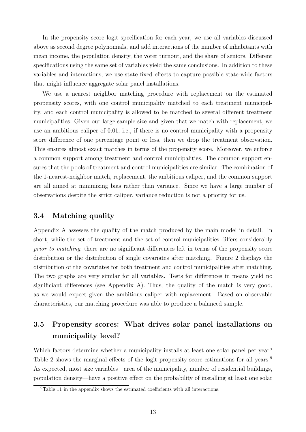In the propensity score logit specification for each year, we use all variables discussed above as second degree polynomials, and add interactions of the number of inhabitants with mean income, the population density, the voter turnout, and the share of seniors. Different specifications using the same set of variables yield the same conclusions. In addition to these variables and interactions, we use state fixed effects to capture possible state-wide factors that might influence aggregate solar panel installations.

We use a nearest neighbor matching procedure with replacement on the estimated propensity scores, with one control municipality matched to each treatment municipality, and each control municipality is allowed to be matched to several different treatment municipalities. Given our large sample size and given that we match with replacement, we use an ambitious caliper of 0.01, i.e., if there is no control municipality with a propensity score difference of one percentage point or less, then we drop the treatment observation. This ensures almost exact matches in terms of the propensity score. Moreover, we enforce a common support among treatment and control municipalities. The common support ensures that the pools of treatment and control municipalities are similar. The combination of the 1-nearest-neighbor match, replacement, the ambitious caliper, and the common support are all aimed at minimizing bias rather than variance. Since we have a large number of observations despite the strict caliper, variance reduction is not a priority for us.

#### 3.4 Matching quality

Appendix [A](#page-34-10) assesses the quality of the match produced by the main model in detail. In short, while the set of treatment and the set of control municipalities differs considerably prior to matching, there are no significant differences left in terms of the propensity score distribution or the distribution of single covariates after matching. Figure [2](#page-14-0) displays the distribution of the covariates for both treatment and control municipalities after matching. The two graphs are very similar for all variables. Tests for differences in means yield no significiant differences (see Appendix [A\)](#page-34-10). Thus, the quality of the match is very good, as we would expect given the ambitious caliper with replacement. Based on observable characteristics, our matching procedure was able to produce a balanced sample.

## 3.5 Propensity scores: What drives solar panel installations on municipality level?

Which factors determine whether a municipality installs at least one solar panel per year? Table [2](#page-15-0) shows the marginal effects of the logit propensity score estimations for all years.<sup>[9](#page-13-0)</sup> As expected, most size variables—area of the municipality, number of residential buildings, population density—have a positive effect on the probability of installing at least one solar

<span id="page-13-0"></span><sup>&</sup>lt;sup>9</sup>Table [11](#page-39-0) in the appendix shows the estimated coefficients with all interactions.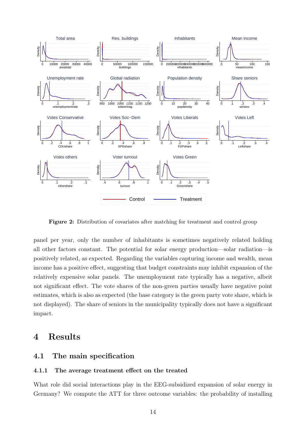<span id="page-14-0"></span>

Figure 2: Distribution of covariates after matching for treatment and control group

panel per year, only the number of inhabitants is sometimes negatively related holding all other factors constant. The potential for solar energy production—solar radiation—is positively related, as expected. Regarding the variables capturing income and wealth, mean income has a positive effect, suggesting that budget constraints may inhibit expansion of the relatively expensive solar panels. The unemployment rate typically has a negative, albeit not significant effect. The vote shares of the non-green parties usually have negative point estimates, which is also as expected (the base category is the green party vote share, which is not displayed). The share of seniors in the municipality typically does not have a significant impact.

## 4 Results

#### 4.1 The main specification

#### 4.1.1 The average treatment effect on the treated

What role did social interactions play in the EEG-subsidized expansion of solar energy in Germany? We compute the ATT for three outcome variables: the probability of installing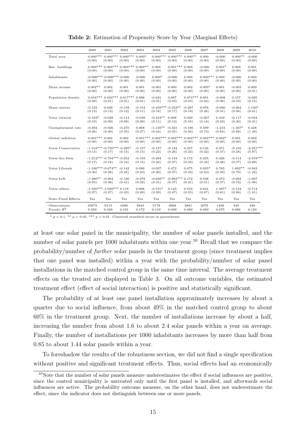<span id="page-15-0"></span>

|                              | 2000                          | 2001                                  | 2002                      | 2003                 | 2004                          | 2005                  | 2006                      | 2007                 | 2008               | 2009                | 2010                  |
|------------------------------|-------------------------------|---------------------------------------|---------------------------|----------------------|-------------------------------|-----------------------|---------------------------|----------------------|--------------------|---------------------|-----------------------|
| Total area                   | (0.00)                        | $0.000***0.000***$<br>(0.00)          | $0.000***$<br>(0.00)      | $0.000*$<br>(0.00)   | $0.000***$<br>(0.00)          | $0.000***$<br>(0.00)  | $0.000**$<br>(0.00)       | 0.000<br>(0.00)      | $-0.000$<br>(0.00) | $0.000**$<br>(0.00) | $-0.000$<br>(0.00)    |
| Res. buildings               | (0.00)                        | $0.000***0.000***$<br>(0.00)          | $0.000***$<br>(0.00)      | $0.000**$<br>(0.00)  | 0.000<br>(0.00)               | $0.001***$<br>(0.00)  | 0.000<br>(0.00)           | $-0.000$<br>(0.00)   | $0.001*$<br>(0.00) | 0.000<br>(0.00)     | 0.001<br>(0.00)       |
| Inhabitants                  | (0.00)                        | $-0.000***-0.000***-0.000$<br>(0.00)  | (0.00)                    | $-0.000$<br>(0.00)   | $0.000*$<br>(0.00)            | $-0.000$<br>(0.00)    | 0.000<br>(0.00)           | $0.000***$<br>(0.00) | 0.000<br>(0.00)    | $-0.000$<br>(0.00)  | 0.000<br>(0.00)       |
| Mean income                  | $0.002**$<br>(0.00)           | 0.002<br>(0.00)                       | 0.001<br>(0.00)           | 0.001<br>(0.00)      | $-0.001$<br>(0.00)            | 0.000<br>(0.00)       | 0.002<br>(0.00)           | $0.005*$<br>(0.00)   | 0.001<br>(0.00)    | $-0.003$<br>(0.00)  | 0.009<br>(0.01)       |
| Population density           | (0.00)                        | $0.016***0.023***$<br>(0.01)          | $0.017***0.008$<br>(0.01) | (0.01)               | $-0.021$<br>(0.01)            | 0.007<br>(0.02)       | $0.074***0.001$<br>(0.03) | (0.04)               | $-0.008$<br>(0.06) | 0.157<br>(0.10)     | $-0.005$<br>(0.15)    |
| Share seniors                | $-0.133$<br>(0.12)            | 0.039<br>(0.12)                       | $-0.158$<br>(0.12)        | $-0.154$<br>(0.11)   | $-0.459***-0.352**$<br>(0.16) | (0.17)                | $-0.287$<br>(0.19)        | 0.076<br>(0.26)      | $-0.090$<br>(0.31) | $-0.464$<br>(0.40)  | $1.140*$<br>(0.61)    |
| Voter turnout                | $-0.163*$<br>(0.10)           | $-0.028$<br>(0.09)                    | $-0.114$<br>(0.09)        | $-0.038$<br>(0.08)   | $-0.234**$<br>(0.11)          | 0.008<br>(0.13)       | 0.029<br>(0.16)           | $-0.267$<br>(0.18)   | 0.332<br>(0.23)    | $-0.117$<br>(0.30)  | $-0.034$<br>(0.41)    |
| Unemployment rate            | $-0.492$<br>(0.46)            | $-0.026$<br>(0.40)                    | $-0.470$<br>(0.35)        | 0.068<br>(0.27)      | $-1.135**$<br>(0.44)          | $-0.321$<br>(0.45)    | $-0.186$<br>(0.56)        | 0.599<br>(0.73)      | $-1.215$<br>(0.84) | $-1.467*$<br>(0.88) | 0.428<br>(1.48)       |
| Global radiation             | $0.001***0.000$<br>(0.00)     | (0.00)                                | 0.000<br>(0.00)           | $0.001***$<br>(0.00) | $0.002***$<br>(0.00)          | $0.002***$<br>(0.00)  | $0.003***$<br>(0.00)      | $0.002***$<br>(0.00) | $0.002*$<br>(0.00) | 0.001<br>(0.00)     | 0.002<br>(0.00)       |
| Votes Conservative           | (0.15)                        | $-1.318***-0.750***-0.295*$<br>(0.17) | (0.15)                    | $-0.157$<br>(0.15)   | $-0.157$<br>(0.22)            | $-0.124$<br>(0.26)    | 0.237<br>(0.32)           | 0.145<br>(0.42)      | 0.371<br>(0.47)    | $-0.159$<br>(0.58)  | $-2.251***$<br>(0.87) |
| Votes Soc-Dem                | (0.17)                        | $-1.212***-0.794***-0.252$<br>(0.18)  | (0.16)                    | $-0.193$<br>(0.15)   | $-0.284$<br>(0.22)            | $-0.133$<br>(0.27)    | 0.172<br>(0.32)           | 0.255<br>(0.42)      | 0.426<br>(0.48)    | $-0.114$<br>(0.57)  | $-2.478***$<br>(0.89) |
| Votes Liberals               | $-1.336***-0.674**$<br>(0.30) | (0.28)                                | $-0.142$<br>(0.25)        | 0.096<br>(0.23)      | $-0.027$<br>(0.30)            | 0.472<br>(0.37)       | 0.075<br>(0.43)           | $0.935*$<br>(0.53)   | 0.765<br>(0.59)    | $1.892**$<br>(0.79) | $-0.943$<br>(1.22)    |
| Votes Left                   | $-1.480**$<br>(0.65)          | $-0.404$<br>(0.48)                    | $-0.120$<br>(0.41)        | $-0.478$<br>(0.32)   | $-0.628**$<br>(0.31)          | $-0.983***$<br>(0.37) | 0.172<br>(0.41)           | 0.536<br>(0.51)      | 0.473<br>(0.57)    | $-0.083$<br>(0.72)  | $-1.667$<br>(1.08)    |
| Votes others                 | (0.37)                        | $-1.350***-1.030***$<br>(0.37)        | 0.119<br>(0.33)           | 0.006<br>(0.28)      | $-0.721*$<br>(0.39)           | 0.143<br>(0.47)       | 0.310<br>(0.55)           | 0.631<br>(0.67)      | 1.497*<br>(0.81)   | $-0.124$<br>(0.96)  | $-0.714$<br>(1.41)    |
| <b>State Fixed Effects</b>   | Yes                           | Yes                                   | Yes                       | Yes                  | Yes                           | Yes                   | Yes                       | Yes                  | Yes                | Yes                 | Yes                   |
| Observations<br>Pseudo $R^2$ | 10873<br>0.350                | 9113<br>0.349                         | 6396<br>0.191             | 5643<br>0.172        | 5178<br>0.119                 | 3968<br>0.099         | 2881<br>0.089             | 2078<br>0.069        | 1498<br>0.075      | 943<br>0.066        | 430<br>0.120          |

Table 2: Estimation of Propensity Score by Year (Marginal Effects)

\*  $p < 0.1$ , \*\*  $p < 0.05$ , \*\*\*  $p < 0.01$ . Clustered standard errors in parentheses.

at least one solar panel in the municipality, the number of solar panels installed, and the number of solar panels per [10](#page-15-1)00 inhabitants within one year.<sup>10</sup> Recall that we compare the probability/number of further solar panels in the treatment group (since treatment implies that one panel was installed) within a year with the probability/number of solar panel installations in the matched control group in the same time interval. The average treatment effects on the treated are displayed in Table [3.](#page-16-0) On all outcome variables, the estimated treatment effect (effect of social interaction) is positive and statistically significant.

The probability of at least one panel installation approximately increases by about a quarter due to social influence, from about 49% in the matched control group to about 60% in the treatment group. Next, the number of installations increase by about a half, increasing the number from about 1.6 to about 2.4 solar panels within a year on average. Finally, the number of installations per 1000 inhabitants increases by more than half from 0.85 to about 1.44 solar panels within a year.

To foreshadow the results of the robustness section, we did not find a single specification without positive and significant treatment effects. Thus, social effects had an economically

<span id="page-15-1"></span> $10$ Note that the number of solar panels measure underestimates the effect if social influences are positive, since the control municipality is untreated only until the first panel is installed, and afterwards social influences are active. The probability outcome measure, on the other hand, does not underestimate the effect, since the indicator does not distinguish between one or more panels.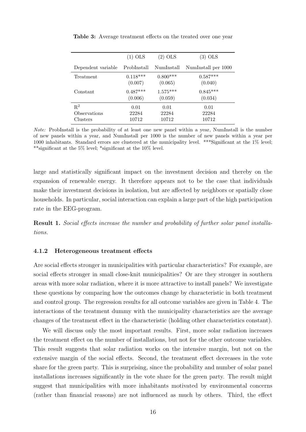|                    | $(1)$ OLS   | (2) OLS    | (3) OLS             |
|--------------------|-------------|------------|---------------------|
| Dependent variable | ProbInstall | NumInstall | NumInstall per 1000 |
| Treatment          | $0.118***$  | $0.800***$ | $0.587***$          |
|                    | (0.007)     | (0.065)    | (0.040)             |
| Constant           | $0.487***$  | $1.575***$ | $0.845***$          |
|                    | (0.006)     | (0.059)    | (0.034)             |
| $R^2$              | 0.01        | 0.01       | 0.01                |
| Observations       | 22284       | 22284      | 22284               |
| Clusters           | 10712       | 10712      | 10712               |

<span id="page-16-0"></span>Table 3: Average treatment effects on the treated over one year

Note: ProbInstall is the probability of at least one new panel within a year, NumInstall is the number of new panels within a year, and NumInstall per 1000 is the number of new panels within a year per 1000 inhabitants. Standard errors are clustered at the municipality level. \*\*\*Significant at the 1% level; \*\*significant at the 5% level; \*significant at the 10% level.

large and statistically significant impact on the investment decision and thereby on the expansion of renewable energy. It therefore appears not to be the case that individuals make their investment decisions in isolation, but are affected by neighbors or spatially close households. In particular, social interaction can explain a large part of the high participation rate in the EEG-program.

Result 1. Social effects increase the number and probability of further solar panel installations.

#### <span id="page-16-1"></span>4.1.2 Heterogeneous treatment effects

Are social effects stronger in municipalities with particular characteristics? For example, are social effects stronger in small close-knit municipalities? Or are they stronger in southern areas with more solar radiation, where it is more attractive to install panels? We investigate these questions by comparing how the outcomes change by characteristic in both treatment and control group. The regression results for all outcome variables are given in Table [4.](#page-17-0) The interactions of the treatment dummy with the municipality characteristics are the average changes of the treatment effect in the characteristic (holding other characteristics constant).

We will discuss only the most important results. First, more solar radiation increases the treatment effect on the number of installations, but not for the other outcome variables. This result suggests that solar radiation works on the intensive margin, but not on the extensive margin of the social effects. Second, the treatment effect decreases in the vote share for the green party. This is surprising, since the probability and number of solar panel installations increases significantly in the vote share for the green party. The result might suggest that municipalities with more inhabitants motivated by environmental concerns (rather than financial reasons) are not influenced as much by others. Third, the effect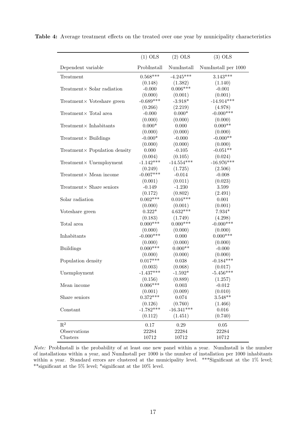|                                | $(1)$ OLS   | $(2)$ OLS    | $(3)$ OLS           |
|--------------------------------|-------------|--------------|---------------------|
| Dependent variable             | ProbInstall | NumInstall   | NumInstall per 1000 |
| Treatment                      | $0.568***$  | $-4.245***$  | $3.143***$          |
|                                | (0.148)     | (1.382)      | (1.140)             |
| Treatment× Solar radiation     | $-0.000$    | $0.006***$   | $-0.001$            |
|                                | (0.000)     | (0.001)      | (0.001)             |
| Treatment× Voteshare green     | $-0.689***$ | $-3.918*$    | $-14.914***$        |
|                                | (0.266)     | (2.219)      | (4.978)             |
| $Treatment \times Total area$  | $-0.000$    | $0.000*$     | $-0.000***$         |
|                                | (0.000)     | (0.000)      | (0.000)             |
| $Treatment \times Inhabitants$ | $0.000*$    | 0.000        | $0.000**$           |
|                                | (0.000)     | (0.000)      | (0.000)             |
| $Treatment \times Buildings$   | $-0.000*$   | $-0.000$     | $-0.000**$          |
|                                | (0.000)     | (0.000)      | (0.000)             |
| Treatment× Population density  | 0.000       | $-0.105$     | $-0.051**$          |
|                                | (0.004)     | (0.105)      | (0.024)             |
| Treatment× Unemployment        | $-1.142***$ | $-14.554***$ | $-16.976***$        |
|                                | (0.249)     | (1.725)      | (2.506)             |
| Treatment× Mean income         | $-0.007***$ | $-0.014$     | $-0.008$            |
|                                | (0.001)     | (0.011)      | (0.023)             |
| Treatment× Share seniors       | $-0.149$    | $-1.230$     | 3.599               |
|                                | (0.172)     | (0.802)      | (2.491)             |
| Solar radiation                | $0.002***$  | $0.016***$   | 0.001               |
|                                | (0.000)     | (0.001)      | (0.001)             |
| Voteshare green                | $0.322*$    | $4.632***$   | $7.934*$            |
|                                | (0.183)     | (1.749)      | (4.298)             |
| Total area                     | $0.000***$  | $0.000***$   | $-0.000***$         |
|                                | (0.000)     | (0.000)      | (0.000)             |
| Inhabitants                    | $-0.000***$ | 0.000        | $0.000***$          |
|                                | (0.000)     | (0.000)      | (0.000)             |
| <b>Buildings</b>               | $0.000***$  | $0.000**$    | $-0.000$            |
|                                | (0.000)     | (0.000)      | (0.000)             |
| Population density             | $0.017***$  | 0.038        | $-0.184***$         |
|                                | (0.003)     | (0.068)      | (0.017)             |
| Unemployment                   | $-1.437***$ | $-1.592*$    | $-5.456***$         |
|                                | (0.156)     | (0.889)      | (1.257)             |
| Mean income                    | $0.006***$  | 0.003        | $-0.012$            |
|                                | (0.001)     | (0.009)      | (0.010)             |
| Share seniors                  | $0.372***$  | 0.074        | $3.548**$           |
|                                | (0.126)     | (0.760)      | (1.466)             |
| Constant                       | $-1.782***$ | $-16.341***$ | 0.016               |
|                                | (0.112)     | (1.451)      | (0.740)             |
| $\mathbf{R}^2$                 | 0.17        | 0.29         | 0.05                |
| Observations                   | 22284       | 22284        | 22284               |
| Clusters                       | 10712       | 10712        | 10712               |
|                                |             |              |                     |

<span id="page-17-0"></span>Table 4: Average treatment effects on the treated over one year by municipality characteristics

Note: ProbInstall is the probability of at least one new panel within a year. NumInstall is the number of installations within a year, and NumInstall per 1000 is the number of installation per 1000 inhabitants within a year. Standard errors are clustered at the municipality level. \*\*\*Significant at the 1% level;  $^{**}$ significant at the 5% level; $^{*}$ significant at the 10% level.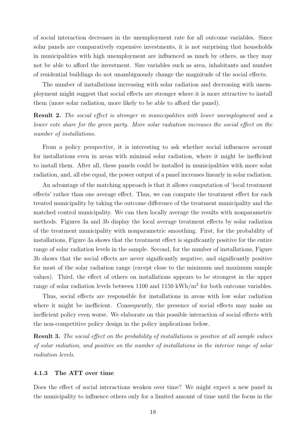of social interaction decreases in the unemployment rate for all outcome variables. Since solar panels are comparatively expensive investments, it is not surprising that households in municipalities with high unemployment are influenced as much by others, as they may not be able to afford the investment. Size variables such as area, inhabitants and number of residential buildings do not unambiguously change the magnitude of the social effects.

The number of installations increasing with solar radiation and decreasing with unemployment might suggest that social effects are stronger where it is more attractive to install them (more solar radiation, more likely to be able to afford the panel).

Result 2. The social effect is stronger in municipalities with lower unemployment and a lower vote share for the green party. More solar radiation increases the social effect on the number of installations.

From a policy perspective, it is interesting to ask whether social influences account for installations even in areas with minimal solar radiation, where it might be inefficient to install them. After all, these panels could be installed in municipalities with more solar radiation, and, all else equal, the power output of a panel increases linearly in solar radiation.

An advantage of the matching approach is that it allows computation of 'local treatment effects' rather than one average effect. Thus, we can compute the treatment effect for each treated municipality by taking the outcome difference of the treatment municipality and the matched control municipality. We can then locally average the results with nonparametric methods. Figures [3a](#page-19-0) and [3b](#page-19-0) display the local average treatment effects by solar radiation of the treatment municipality with nonparametric smoothing. First, for the probability of installations, Figure [3a](#page-19-0) shows that the treatment effect is significantly positive for the entire range of solar radiation levels in the sample. Second, for the number of installations, Figure [3b](#page-19-0) shows that the social effects are never significantly negative, and significantly positive for most of the solar radiation range (except close to the minimum and maximum sample values). Third, the effect of others on installations appears to be strongest in the upper range of solar radiation levels between 1100 and 1150 kWh/m<sup>2</sup> for both outcome variables.

Thus, social effects are responsible for installations in areas with low solar radiation where it might be inefficient. Consequently, the presence of social effects may make an inefficient policy even worse. We elaborate on this possible interaction of social effects with the non-competitive policy design in the policy implications below.

Result 3. The social effect on the probability of installations is positive at all sample values of solar radiation, and positive on the number of installations in the interior range of solar radiation levels.

#### 4.1.3 The ATT over time

Does the effect of social interactions weaken over time? We might expect a new panel in the municipality to influence others only for a limited amount of time until the focus in the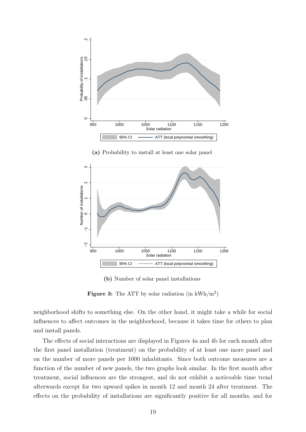<span id="page-19-0"></span>

(b) Number of solar panel installations

Figure 3: The ATT by solar radiation (in  $kWh/m^2$ )

neighborhood shifts to something else. On the other hand, it might take a while for social influences to affect outcomes in the neighborhood, because it takes time for others to plan and install panels.

The effects of social interactions are displayed in Figures [4a](#page-20-0) and [4b](#page-20-0) for each month after the first panel installation (treatment) on the probability of at least one more panel and on the number of more panels per 1000 inhabitants. Since both outcome measures are a function of the number of new panels, the two graphs look similar. In the first month after treatment, social influences are the strongest, and do not exhibit a noticeable time trend afterwards except for two upward spikes in month 12 and month 24 after treatment. The effects on the probability of installations are significantly positive for all months, and for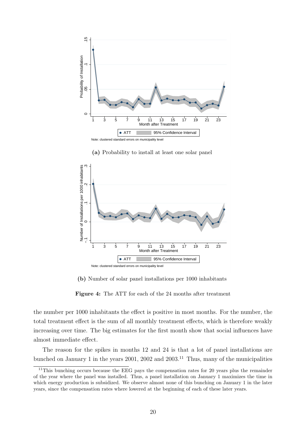<span id="page-20-0"></span>

−.1 0 ..<br>...<br>0 .<br>0 . Number of Installations per 1000 inhabitants 1 3 5 7 9 11 13 15 17 19 21 23 Month after Treatment • ATT 95% Confidence Interval Note: clustered standard errors on municipality level

(a) Probability to install at least one solar panel

(b) Number of solar panel installations per 1000 inhabitants

Figure 4: The ATT for each of the 24 months after treatment

the number per 1000 inhabitants the effect is positive in most months. For the number, the total treatment effect is the sum of all monthly treatment effects, which is therefore weakly increasing over time. The big estimates for the first month show that social influences have almost immediate effect.

The reason for the spikes in months 12 and 24 is that a lot of panel installations are bunched on January 1 in the years 2001, 2002 and 2003.<sup>[11](#page-20-1)</sup> Thus, many of the municipalities

<span id="page-20-1"></span> $11$ This bunching occurs because the EEG pays the compensation rates for 20 years plus the remainder of the year where the panel was installed. Thus, a panel installation on January 1 maximizes the time in which energy production is subsidized. We observe almost none of this bunching on January 1 in the later years, since the compensation rates where lowered at the beginning of each of these later years.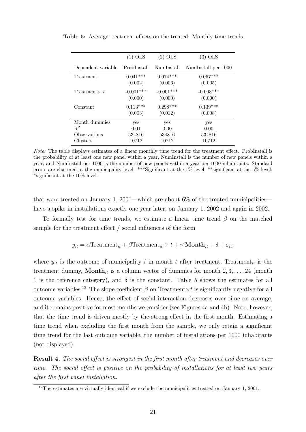| $(1)$ OLS   | (2) OLS     | $(3)$ OLS           |
|-------------|-------------|---------------------|
| ProbInstall | NumInstall  | NumInstall per 1000 |
| $0.041***$  | $0.074***$  | $0.067***$          |
| (0.002)     | (0.006)     | (0.005)             |
| $-0.001***$ | $-0.001***$ | $-0.003***$         |
| (0.000)     | (0.000)     | (0.000)             |
| $0.113***$  | $0.298***$  | $0.139***$          |
| (0.003)     | (0.012)     | (0.008)             |
| yes         | yes         | yes                 |
| 0.01        | 0.00        | 0.00                |
| 534816      | 534816      | 534816              |
| 10712       | 10712       | 10712               |
|             |             |                     |

<span id="page-21-0"></span>Table 5: Average treatment effects on the treated: Monthly time trends

Note: The table displays estimates of a linear monthly time trend for the treatment effect. ProbInstall is the probability of at least one new panel within a year, NumInstall is the number of new panels within a year, and NumInstall per 1000 is the number of new panels within a year per 1000 inhabitants. Standard errors are clustered at the municipality level. \*\*\*Significant at the 1% level; \*\*significant at the 5% level; \*significant at the 10% level.

that were treated on January 1, 2001—which are about  $6\%$  of the treated municipalities have a spike in installations exactly one year later, on January 1, 2002 and again in 2002.

To formally test for time trends, we estimate a linear time trend  $\beta$  on the matched sample for the treatment effect / social influences of the form

$$
y_{it} = \alpha \text{Treatment}_{it} + \beta \text{Treatment}_{it} \times t + \gamma' \text{Month}_{it} + \delta + \varepsilon_{it},
$$

where  $y_{it}$  is the outcome of municipality i in month t after treatment, Treatment<sub>it</sub> is the treatment dummy, **Month**<sub>it</sub> is a column vector of dummies for month  $2, 3, \ldots, 24$  (month 1 is the reference category), and  $\delta$  is the constant. Table [5](#page-21-0) shows the estimates for all outcome variables.<sup>[12](#page-21-1)</sup> The slope coefficient β on Treatment×t is significantly negative for all outcome variables. Hence, the effect of social interaction decreases over time on average, and it remains positive for most months we consider (see Figures [4a](#page-20-0) and [4b\)](#page-20-0). Note, however, that the time trend is driven mostly by the strong effect in the first month. Estimating a time trend when excluding the first month from the sample, we only retain a significant time trend for the last outcome variable, the number of installations per 1000 inhabitants (not displayed).

Result 4. The social effect is strongest in the first month after treatment and decreases over time. The social effect is positive on the probability of installations for at least two years after the first panel installation.

<span id="page-21-1"></span><sup>&</sup>lt;sup>12</sup>The estimates are virtually identical if we exclude the municipalities treated on January 1, 2001.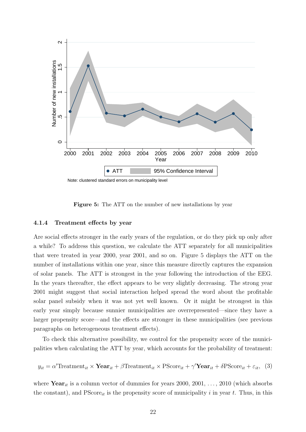<span id="page-22-0"></span>

Note: clustered standard errors on municipality level

Figure 5: The ATT on the number of new installations by year

#### 4.1.4 Treatment effects by year

Are social effects stronger in the early years of the regulation, or do they pick up only after a while? To address this question, we calculate the ATT separately for all municipalities that were treated in year 2000, year 2001, and so on. Figure [5](#page-22-0) displays the ATT on the number of installations within one year, since this measure directly captures the expansion of solar panels. The ATT is strongest in the year following the introduction of the EEG. In the years thereafter, the effect appears to be very slightly decreasing. The strong year 2001 might suggest that social interaction helped spread the word about the profitable solar panel subsidy when it was not yet well known. Or it might be strongest in this early year simply because sunnier municipalities are overrepresented—since they have a larger propensity score—and the effects are stronger in these municipalities (see previous paragraphs on heterogeneous treatment effects).

To check this alternative possibility, we control for the propensity score of the municipalities when calculating the ATT by year, which accounts for the probability of treatment:

<span id="page-22-1"></span>
$$
y_{it} = \alpha' \text{Treatment}_{it} \times \text{Year}_{it} + \beta \text{Treatment}_{it} \times \text{PScore}_{it} + \gamma' \text{Year}_{it} + \delta \text{PScore}_{it} + \varepsilon_{it}, \tag{3}
$$

where  $\textbf{Year}_{it}$  is a column vector of dummies for years 2000, 2001, ..., 2010 (which absorbs the constant), and  $PScore_{it}$  is the propensity score of municipality i in year t. Thus, in this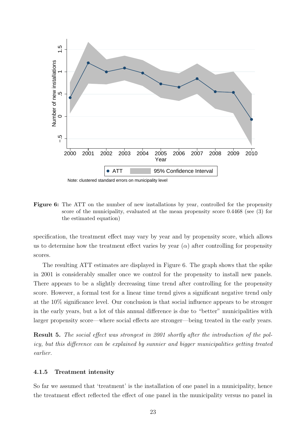<span id="page-23-0"></span>

Figure 6: The ATT on the number of new installations by year, controlled for the propensity score of the municipality, evaluated at the mean propensity score 0.4468 (see [\(3\)](#page-22-1) for the estimated equation)

specification, the treatment effect may vary by year and by propensity score, which allows us to determine how the treatment effect varies by year  $(\alpha)$  after controlling for propensity scores.

The resulting ATT estimates are displayed in Figure [6.](#page-23-0) The graph shows that the spike in 2001 is considerably smaller once we control for the propensity to install new panels. There appears to be a slightly decreasing time trend after controlling for the propensity score. However, a formal test for a linear time trend gives a significant negative trend only at the 10% significance level. Our conclusion is that social influence appears to be stronger in the early years, but a lot of this annual difference is due to "better" municipalities with larger propensity score—where social effects are stronger—being treated in the early years.

Result 5. The social effect was strongest in 2001 shortly after the introduction of the policy, but this difference can be explained by sunnier and bigger municipalities getting treated earlier.

#### 4.1.5 Treatment intensity

So far we assumed that 'treatment' is the installation of one panel in a municipality, hence the treatment effect reflected the effect of one panel in the municipality versus no panel in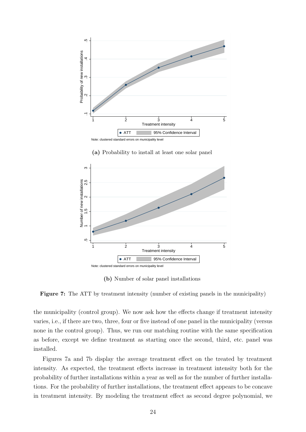<span id="page-24-0"></span>

 $\mathfrak{g}$ Number of new installations 5.5<br>מ -<br>מ -.5 1.5<br>5 -<br>5 -ശ 1 2 3 4 5 Treatment intensity • ATT 95% Confidence Interval Note: clustered standard errors on municipality level

(a) Probability to install at least one solar panel

(b) Number of solar panel installations

Figure 7: The ATT by treatment intensity (number of existing panels in the municipality)

the municipality (control group). We now ask how the effects change if treatment intensity varies, i.e., if there are two, three, four or five instead of one panel in the municipality (versus none in the control group). Thus, we run our matching routine with the same specification as before, except we define treatment as starting once the second, third, etc. panel was installed.

Figures [7a](#page-24-0) and [7b](#page-24-0) display the average treatment effect on the treated by treatment intensity. As expected, the treatment effects increase in treatment intensity both for the probability of further installations within a year as well as for the number of further installations. For the probability of further installations, the treatment effect appears to be concave in treatment intensity. By modeling the treatment effect as second degree polynomial, we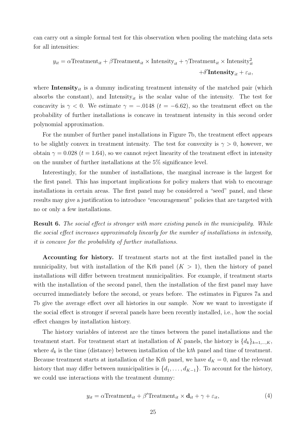can carry out a simple formal test for this observation when pooling the matching data sets for all intensities:

$$
y_{it} = \alpha \text{Treatment}_{it} + \beta \text{Treatment}_{it} \times \text{Intensity}_{it} + \gamma \text{Treatment}_{it} \times \text{Intensity}_{it}^{2} + \delta' \text{Intensity}_{it} + \varepsilon_{it},
$$

where **Intensity**<sub>it</sub> is a dummy indicating treatment intensity of the matched pair (which absorbs the constant), and Intensity<sub>it</sub> is the scalar value of the intensity. The test for concavity is  $\gamma < 0$ . We estimate  $\gamma = -.0148$  ( $t = -6.62$ ), so the treatment effect on the probability of further installations is concave in treatment intensity in this second order polynomial approximation.

For the number of further panel installations in Figure [7b,](#page-24-0) the treatment effect appears to be slightly convex in treatment intensity. The test for convexity is  $\gamma > 0$ , however, we obtain  $\gamma = 0.028$  ( $t = 1.64$ ), so we cannot reject linearity of the treatment effect in intensity on the number of further installations at the 5% significance level.

Interestingly, for the number of installations, the marginal increase is the largest for the first panel. This has important implications for policy makers that wish to encourage installations in certain areas. The first panel may be considered a "seed" panel, and these results may give a justification to introduce "encouragement" policies that are targeted with no or only a few installations.

**Result 6.** The social effect is stronger with more existing panels in the municipality. While the social effect increases approximately linearly for the number of installations in intensity, it is concave for the probability of further installations.

Accounting for history. If treatment starts not at the first installed panel in the municipality, but with installation of the Kth panel  $(K > 1)$ , then the history of panel installations will differ between treatment municipalities. For example, if treatment starts with the installation of the second panel, then the installation of the first panel may have occurred immediately before the second, or years before. The estimates in Figures [7a](#page-24-0) and [7b](#page-24-0) give the average effect over all histories in our sample. Now we want to investigate if the social effect is stronger if several panels have been recently installed, i.e., how the social effect changes by installation history.

The history variables of interest are the times between the panel installations and the treatment start. For treatment start at installation of K panels, the history is  $\{d_k\}_{k=1,\dots,K}$ , where  $d_k$  is the time (distance) between installation of the kth panel and time of treatment. Because treatment starts at installation of the Kth panel, we have  $d_K = 0$ , and the relevant history that may differ between municipalities is  $\{d_1, \ldots, d_{K-1}\}\$ . To account for the history, we could use interactions with the treatment dummy:

<span id="page-25-0"></span>
$$
y_{it} = \alpha \text{Treatment}_{it} + \beta' \text{Treatment}_{it} \times \mathbf{d}_{it} + \gamma + \varepsilon_{it}, \tag{4}
$$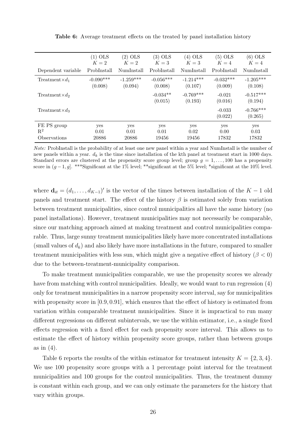<span id="page-26-0"></span>

|                            | $(1)$ OLS   | $(2)$ OLS   | $(3)$ OLS             | $(4)$ OLS              | $(5)$ OLS           | $(6)$ OLS              |
|----------------------------|-------------|-------------|-----------------------|------------------------|---------------------|------------------------|
|                            | $K=2$       | $K=2$       | $K=3$                 | $K=3$                  | $K=4$               | $K=4$                  |
| Dependent variable         | ProbInstall | NumInstall  | ProbInstall           | NumInstall             | ProbInstall         | NumInstall             |
| Treatment $\times d_1$     | $-0.090***$ | $-1.259***$ | $-0.056***$           | $-1.214***$            | $-0.032***$         | $-1.205***$            |
|                            | (0.008)     | (0.094)     | (0.008)               | (0.107)                | (0.009)             | (0.108)                |
| $Treatment \times d_2$     |             |             | $-0.034**$<br>(0.015) | $-0.769***$<br>(0.193) | $-0.021$<br>(0.016) | $-0.517***$<br>(0.194) |
| Treatment $\times d_3$     |             |             |                       |                        | $-0.033$<br>(0.022) | $-0.766***$<br>(0.265) |
| FE PS group                | yes         | yes         | yes                   | yes                    | yes                 | yes                    |
| $\mathbf{R}^2$             | 0.01        | 0.01        | 0.01                  | 0.02                   | 0.00                | 0.03                   |
| <i><b>Observations</b></i> | 20886       | 20886       | 19456                 | 19456                  | 17832               | 17832                  |

Table 6: Average treatment effects on the treated by panel installation history

Note: ProbInstall is the probability of at least one new panel within a year and NumInstall is the number of new panels within a year.  $d_k$  is the time since installation of the kth panel at treatment start in 1000 days. Standard errors are clustered at the propensity score group level; group  $q = 1, \ldots, 100$  has a propensity score in  $(g-1, g]$ . \*\*\*Significant at the 1% level; \*\*significant at the 5% level; \*significant at the 10% level.

where  $\mathbf{d}_{it} = (d_1, \ldots, d_{K-1})'$  is the vector of the times between installation of the  $K-1$  old panels and treatment start. The effect of the history  $\beta$  is estimated solely from variation between treatment municipalities, since control municipalities all have the same history (no panel installations). However, treatment municipalities may not necessarily be comparable, since our matching approach aimed at making treatment and control municipalities comparable. Thus, large sunny treatment municipalities likely have more concentrated installations (small values of  $d_k$ ) and also likely have more installations in the future, compared to smaller treatment municipalities with less sun, which might give a negative effect of history ( $\beta < 0$ ) due to the between-treatment-municipality comparison.

To make treatment municipalities comparable, we use the propensity scores we already have from matching with control municipalities. Ideally, we would want to run regression [\(4\)](#page-25-0) only for treatment municipalities in a narrow propensity score interval, say for municipalities with propensity score in [0.9, 0.91], which ensures that the effect of history is estimated from variation within comparable treatment municipalities. Since it is impractical to run many different regressions on different subintervals, we use the within estimator, i.e., a single fixed effects regression with a fixed effect for each propensity score interval. This allows us to estimate the effect of history within propensity score groups, rather than between groups as in [\(4\)](#page-25-0).

Table [6](#page-26-0) reports the results of the within estimator for treatment intensity  $K = \{2, 3, 4\}.$ We use 100 propensity score groups with a 1 percentage point interval for the treatment municipalities and 100 groups for the control municipalities. Thus, the treatment dummy is constant within each group, and we can only estimate the parameters for the history that vary within groups.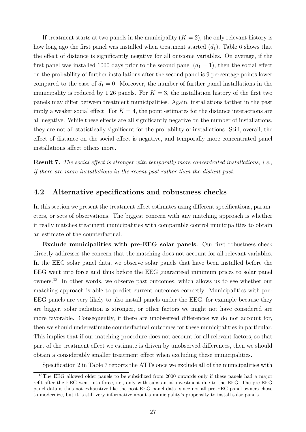If treatment starts at two panels in the municipality  $(K = 2)$ , the only relevant history is how long ago the first panel was installed when treatment started  $(d_1)$ . Table [6](#page-26-0) shows that the effect of distance is significantly negative for all outcome variables. On average, if the first panel was installed 1000 days prior to the second panel  $(d_1 = 1)$ , then the social effect on the probability of further installations after the second panel is 9 percentage points lower compared to the case of  $d_1 = 0$ . Moreover, the number of further panel installations in the municipality is reduced by 1.26 panels. For  $K = 3$ , the installation history of the first two panels may differ between treatment municipalities. Again, installations farther in the past imply a weaker social effect. For  $K = 4$ , the point estimates for the distance interactions are all negative. While these effects are all significantly negative on the number of installations, they are not all statistically significant for the probability of installations. Still, overall, the effect of distance on the social effect is negative, and temporally more concentrated panel installations affect others more.

Result 7. The social effect is stronger with temporally more concentrated installations, i.e., if there are more installations in the recent past rather than the distant past.

#### <span id="page-27-0"></span>4.2 Alternative specifications and robustness checks

In this section we present the treatment effect estimates using different specifications, parameters, or sets of observations. The biggest concern with any matching approach is whether it really matches treatment municipalities with comparable control municipalities to obtain an estimate of the counterfactual.

Exclude municipalities with pre-EEG solar panels. Our first robustness check directly addresses the concern that the matching does not account for all relevant variables. In the EEG solar panel data, we observe solar panels that have been installed before the EEG went into force and thus before the EEG guaranteed minimum prices to solar panel owners.[13](#page-27-1) In other words, we observe past outcomes, which allows us to see whether our matching approach is able to predict current outcomes correctly. Municipalities with pre-EEG panels are very likely to also install panels under the EEG, for example because they are bigger, solar radiation is stronger, or other factors we might not have considered are more favorable. Consequently, if there are unobserved differences we do not account for, then we should underestimate counterfactual outcomes for these municipalities in particular. This implies that if our matching procedure does not account for all relevant factors, so that part of the treatment effect we estimate is driven by unobserved differences, then we should obtain a considerably smaller treatment effect when excluding these municipalities.

Specification 2 in Table [7](#page-28-0) reports the ATTs once we exclude all of the municipalities with

<span id="page-27-1"></span><sup>&</sup>lt;sup>13</sup>The EEG allowed older panels to be subsidized from 2000 onwards only if these panels had a major refit after the EEG went into force, i.e., only with substantial investment due to the EEG. The pre-EEG panel data is thus not exhaustive like the post-EEG panel data, since not all pre-EEG panel owners chose to modernize, but it is still very informative about a municipality's propensity to install solar panels.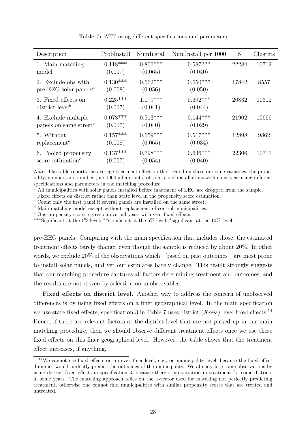<span id="page-28-0"></span>

| Description                                                        | ProbInstall           | NumInstall            | NumInstall per 1000   | N     | Clusters |
|--------------------------------------------------------------------|-----------------------|-----------------------|-----------------------|-------|----------|
| 1. Main matching<br>model                                          | $0.118***$<br>(0.007) | $0.800***$<br>(0.065) | $0.587***$<br>(0.040) | 22284 | 10712    |
| 2. Exclude obs with<br>pre-EEG solar panels <sup><i>a</i></sup>    | $0.130***$<br>(0.008) | $0.662***$<br>(0.056) | $0.650***$<br>(0.050) | 17842 | 8557     |
| 3. Fixed effects on<br>district level <sup>b</sup>                 | $0.225***$<br>(0.007) | $1.179***$<br>(0.041) | $0.692***$<br>(0.044) | 20832 | 10312    |
| 4. Exclude multiple<br>panels on same street <sup>c</sup>          | $0.078***$<br>(0.007) | $0.513***$<br>(0.040) | $0.144***$<br>(0.029) | 21902 | 10666    |
| 5. Without<br>replacement <sup>d</sup>                             | $0.157***$<br>(0.008) | $0.659***$<br>(0.065) | $0.517***$<br>(0.034) | 12898 | 9862     |
| 6. Pooled propensity<br>score estimation <sup><math>e</math></sup> | $0.137***$<br>(0.007) | $0.798***$<br>(0.054) | $0.636***$<br>(0.040) | 22306 | 10711    |

Table 7: ATT using different specifications and parameters

Note: The table reports the average treatment effect on the treated on three outcome variables, the probability, number, and number (per 1000 inhabitants) of solar panel installations within one year using different specifications and parameters in the matching procedure.

 $a<sup>a</sup>$  All municipalities with solar panels installed before inactment of EEG are dropped from the sample.

 $\bar{b}$  Fixed effects on district rather than state level in the propensity score estimation.

<sup>c</sup> Count only the first panel if several panels are installed on the same street.

 $d$  Main matching model except without replacement of control municipalities.

<sup>e</sup> One propensity score regression over all years with year fixed effects.

\*\*\*Significant at the 1% level; \*\*significant at the 5% level; \*significant at the 10% level.

pre-EEG panels. Comparing with the main specification that includes those, the estimated treatment effects barely change, even though the sample is reduced by about 20%. In other words, we exclude 20% of the observations which—based on past outcomes—are most prone to install solar panels, and yet our estimates barely change. This result strongly suggests that our matching procedure captures all factors determining treatment and outcomes, and the results are not driven by selection on unobservables.

Fixed effects on district level. Another way to address the concern of unobserved differences is by using fixed effects on a finer geographical level. In the main specification we use state fixed effects, specification 3 in Table [7](#page-28-0) uses district (*Kreis*) level fixed effects.<sup>[14](#page-28-1)</sup> Hence, if there are relevant factors at the district level that are not picked up in our main matching procedure, then we should observe different treatment effects once we use these fixed effects on this finer geographical level. However, the table shows that the treatment effect increases, if anything.

<span id="page-28-1"></span><sup>14</sup>We cannot use fixed effects on an even finer level, e.g., on municipality level, because the fixed effect dummies would perfectly predict the outcomes of the municipality. We already lose some observations by using district fixed effects in specification 3, because there is no variation in treatment for some districts in some years. The matching approach relies on the x-vector used for matching not perfectly predicting treatment, otherwise one cannot find municipalities with similar propensity scores that are treated and untreated.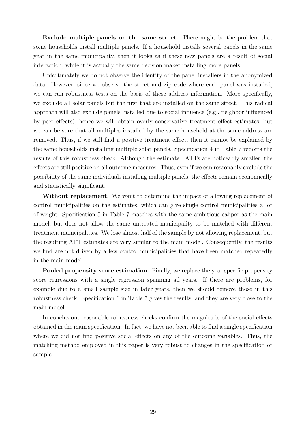Exclude multiple panels on the same street. There might be the problem that some households install multiple panels. If a household installs several panels in the same year in the same municipality, then it looks as if these new panels are a result of social interaction, while it is actually the same decision maker installing more panels.

Unfortunately we do not observe the identity of the panel installers in the anonymized data. However, since we observe the street and zip code where each panel was installed, we can run robustness tests on the basis of these address information. More specifically, we exclude all solar panels but the first that are installed on the same street. This radical approach will also exclude panels installed due to social influence (e.g., neighbor influenced by peer effects), hence we will obtain overly conservative treatment effect estimates, but we can be sure that all multiples installed by the same household at the same address are removed. Thus, if we still find a positive treatment effect, then it cannot be explained by the same households installing multiple solar panels. Specification 4 in Table [7](#page-28-0) reports the results of this robustness check. Although the estimated ATTs are noticeably smaller, the effects are still positive on all outcome measures. Thus, even if we can reasonably exclude the possibility of the same individuals installing multiple panels, the effects remain economically and statistically significant.

Without replacement. We want to determine the impact of allowing replacement of control municipalities on the estimates, which can give single control municipalities a lot of weight. Specification 5 in Table [7](#page-28-0) matches with the same ambitious caliper as the main model, but does not allow the same untreated municipality to be matched with different treatment municipalities. We lose almost half of the sample by not allowing replacement, but the resulting ATT estimates are very similar to the main model. Consequently, the results we find are not driven by a few control municipalities that have been matched repeatedly in the main model.

Pooled propensity score estimation. Finally, we replace the year specific propensity score regressions with a single regression spanning all years. If there are problems, for example due to a small sample size in later years, then we should remove those in this robustness check. Specification 6 in Table [7](#page-28-0) gives the results, and they are very close to the main model.

In conclusion, reasonable robustness checks confirm the magnitude of the social effects obtained in the main specification. In fact, we have not been able to find a single specification where we did not find positive social effects on any of the outcome variables. Thus, the matching method employed in this paper is very robust to changes in the specification or sample.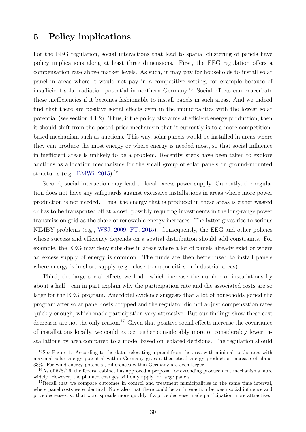## 5 Policy implications

For the EEG regulation, social interactions that lead to spatial clustering of panels have policy implications along at least three dimensions. First, the EEG regulation offers a compensation rate above market levels. As such, it may pay for households to install solar panel in areas where it would not pay in a competitive setting, for example because of insufficient solar radiation potential in northern Germany.[15](#page-30-0) Social effects can exacerbate these inefficiencies if it becomes fashionable to install panels in such areas. And we indeed find that there are positive social effects even in the municipalities with the lowest solar potential (see section [4.1.2\)](#page-16-1). Thus, if the policy also aims at efficient energy production, then it should shift from the posted price mechanism that it currently is to a more competitionbased mechanism such as auctions. This way, solar panels would be installed in areas where they can produce the most energy or where energy is needed most, so that social influence in inefficient areas is unlikely to be a problem. Recently, steps have been taken to explore auctions as allocation mechanisms for the small group of solar panels on ground-mounted structures (e.g., [BMWi,](#page-32-3) [2015\)](#page-32-3).[16](#page-30-1)

Second, social interaction may lead to local excess power supply. Currently, the regulation does not have any safeguards against excessive installations in areas where more power production is not needed. Thus, the energy that is produced in these areas is either wasted or has to be transported off at a cost, possibly requiring investments in the long-range power transmission grid as the share of renewable energy increases. The latter gives rise to serious NIMBY-problems (e.g., [WSJ,](#page-34-0) [2009;](#page-34-0) [FT,](#page-33-1) [2015\)](#page-33-1). Consequently, the EEG and other policies whose success and efficiency depends on a spatial distribution should add constraints. For example, the EEG may deny subsidies in areas where a lot of panels already exist or where an excess supply of energy is common. The funds are then better used to install panels where energy is in short supply (e.g., close to major cities or industrial areas).

Third, the large social effects we find—which increase the number of installations by about a half—can in part explain why the participation rate and the associated costs are so large for the EEG program. Anecdotal evidence suggests that a lot of households joined the program after solar panel costs dropped and the regulator did not adjust compensation rates quickly enough, which made participation very attractive. But our findings show these cost decreases are not the only reason.<sup>[17](#page-30-2)</sup> Given that positive social effects increase the covariance of installations locally, we could expect either considerably more or considerably fewer installations by area compared to a model based on isolated decisions. The regulation should

<span id="page-30-0"></span><sup>&</sup>lt;sup>15</sup>See Figure [1.](#page-11-0) According to the data, relocating a panel from the area with minimal to the area with maximal solar energy potential within Germany gives a theoretical energy production increase of about 33%. For wind energy potential, differences within Germany are even larger.

<span id="page-30-1"></span><sup>&</sup>lt;sup>16</sup>As of  $6/8/16$ , the federal cabinet has approved a proposal for extending procurement mechanisms more widely. However, the planned changes will only apply for large panels.

<span id="page-30-2"></span><sup>&</sup>lt;sup>17</sup>Recall that we compare outcomes in control and treatment municipalities in the same time interval. where panel costs were identical. Note also that there could be an interaction between social influence and price decreases, so that word spreads more quickly if a price decrease made participation more attractive.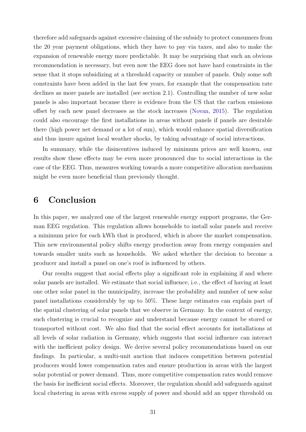therefore add safeguards against excessive claiming of the subsidy to protect consumers from the 20 year payment obligations, which they have to pay via taxes, and also to make the expansion of renewable energy more predictable. It may be surprising that such an obvious recommendation is necessary, but even now the EEG does not have hard constraints in the sense that it stops subsidizing at a threshold capacity or number of panels. Only some soft constraints have been added in the last few years, for example that the compensation rate declines as more panels are installed (see section [2.1\)](#page-5-2). Controlling the number of new solar panels is also important because there is evidence from the US that the carbon emissions offset by each new panel decreases as the stock increases [\(Novan,](#page-33-12) [2015\)](#page-33-12). The regulation could also encourage the first installations in areas without panels if panels are desirable there (high power net demand or a lot of sun), which would enhance spatial diversification and thus insure against local weather shocks, by taking advantage of social interactions.

In summary, while the disincentives induced by minimum prices are well known, our results show these effects may be even more pronounced due to social interactions in the case of the EEG. Thus, measures working towards a more competitive allocation mechanism might be even more beneficial than previously thought.

## 6 Conclusion

In this paper, we analyzed one of the largest renewable energy support programs, the German EEG regulation. This regulation allows households to install solar panels and receive a minimum price for each kWh that is produced, which is above the market compensation. This new environmental policy shifts energy production away from energy companies and towards smaller units such as households. We asked whether the decision to become a producer and install a panel on one's roof is influenced by others.

Our results suggest that social effects play a significant role in explaining if and where solar panels are installed. We estimate that social influence, i.e., the effect of having at least one other solar panel in the municipality, increase the probability and number of new solar panel installations considerably by up to 50%. These large estimates can explain part of the spatial clustering of solar panels that we observe in Germany. In the context of energy, such clustering is crucial to recognize and understand because energy cannot be stored or transported without cost. We also find that the social effect accounts for installations at all levels of solar radiation in Germany, which suggests that social influence can interact with the inefficient policy design. We derive several policy recommendations based on our findings. In particular, a multi-unit auction that induces competition between potential producers would lower compensation rates and ensure production in areas with the largest solar potential or power demand. Thus, more competitive compensation rates would remove the basis for inefficient social effects. Moreover, the regulation should add safeguards against local clustering in areas with excess supply of power and should add an upper threshold on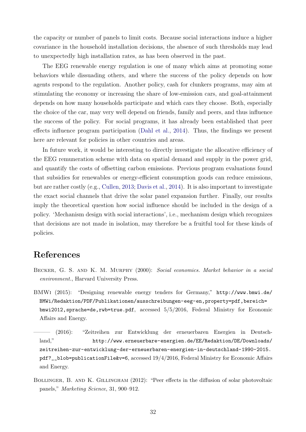the capacity or number of panels to limit costs. Because social interactions induce a higher covariance in the household installation decisions, the absence of such thresholds may lead to unexpectedly high installation rates, as has been observed in the past.

The EEG renewable energy regulation is one of many which aims at promoting some behaviors while dissuading others, and where the success of the policy depends on how agents respond to the regulation. Another policy, cash for clunkers programs, may aim at stimulating the economy or increasing the share of low-emission cars, and goal-attainment depends on how many households participate and which cars they choose. Both, especially the choice of the car, may very well depend on friends, family and peers, and thus influence the success of the policy. For social programs, it has already been established that peer effects influence program participation [\(Dahl et al.,](#page-33-10) [2014\)](#page-33-10). Thus, the findings we present here are relevant for policies in other countries and areas.

In future work, it would be interesting to directly investigate the allocative efficiency of the EEG remuneration scheme with data on spatial demand and supply in the power grid, and quantify the costs of offsetting carbon emissions. Previous program evaluations found that subsidies for renewables or energy-efficient consumption goods can reduce emissions, but are rather costly (e.g., [Cullen,](#page-33-13) [2013;](#page-33-13) [Davis et al.,](#page-33-14) [2014\)](#page-33-14). It is also important to investigate the exact social channels that drive the solar panel expansion further. Finally, our results imply the theoretical question how social influence should be included in the design of a policy. 'Mechanism design with social interactions', i.e., mechanism design which recognizes that decisions are not made in isolation, may therefore be a fruitful tool for these kinds of policies.

### References

- <span id="page-32-1"></span>BECKER, G. S. AND K. M. MURPHY (2000): Social economics. Market behavior in a social environment., Harvard University Press.
- <span id="page-32-3"></span>BMWi (2015): "Designing renewable energy tenders for Germany," [http://www.bmwi.de/](http://www.bmwi.de/BMWi/Redaktion/PDF/Publikationen/ausschreibungen-eeg-en,property=pdf,bereich=bmwi2012,sprache=de,rwb=true.pdf) [BMWi/Redaktion/PDF/Publikationen/ausschreibungen-eeg-en,property=pdf,bereich=](http://www.bmwi.de/BMWi/Redaktion/PDF/Publikationen/ausschreibungen-eeg-en,property=pdf,bereich=bmwi2012,sprache=de,rwb=true.pdf) [bmwi2012,sprache=de,rwb=true.pdf](http://www.bmwi.de/BMWi/Redaktion/PDF/Publikationen/ausschreibungen-eeg-en,property=pdf,bereich=bmwi2012,sprache=de,rwb=true.pdf), accessed 5/5/2016, Federal Ministry for Economic Affairs and Energy.
- <span id="page-32-0"></span>——— (2016): "Zeitreihen zur Entwicklung der erneuerbaren Energien in Deutschland," [http://www.erneuerbare-energien.de/EE/Redaktion/DE/Downloads/](http://www.erneuerbare-energien.de/EE/Redaktion/DE/Downloads/zeitreihen-zur-entwicklung-der-erneuerbaren-energien-in-deutschland-1990-2015.pdf?__blob=publicationFile&v=6) [zeitreihen-zur-entwicklung-der-erneuerbaren-energien-in-deutschland-1990-2015.](http://www.erneuerbare-energien.de/EE/Redaktion/DE/Downloads/zeitreihen-zur-entwicklung-der-erneuerbaren-energien-in-deutschland-1990-2015.pdf?__blob=publicationFile&v=6) [pdf?\\_\\_blob=publicationFile&v=6](http://www.erneuerbare-energien.de/EE/Redaktion/DE/Downloads/zeitreihen-zur-entwicklung-der-erneuerbaren-energien-in-deutschland-1990-2015.pdf?__blob=publicationFile&v=6), accessed 19/4/2016, Federal Ministry for Economic Affairs and Energy.
- <span id="page-32-2"></span>Bollinger, B. and K. Gillingham (2012): "Peer effects in the diffusion of solar photovoltaic panels," Marketing Science, 31, 900–912.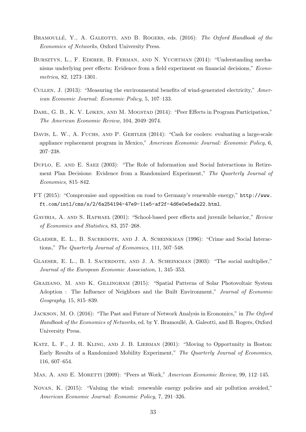- <span id="page-33-9"></span>BRAMOULLÉ, Y., A. GALEOTTI, AND B. ROGERS, eds. (2016): The Oxford Handbook of the Economics of Networks, Oxford University Press.
- <span id="page-33-3"></span>Bursztyn, L., F. Ederer, B. Ferman, and N. Yuchtman (2014): "Understanding mechanisms underlying peer effects: Evidence from a field experiment on financial decisions," Econometrica, 82, 1273–1301.
- <span id="page-33-13"></span>Cullen, J. (2013): "Measuring the environmental benefits of wind-generated electricity," American Economic Journal: Economic Policy, 5, 107–133.
- <span id="page-33-10"></span>DAHL, G. B., K. V. LØKEN, AND M. MOGSTAD (2014): "Peer Effects in Program Participation," The American Economic Review, 104, 2049–2074.
- <span id="page-33-14"></span>DAVIS, L. W., A. FUCHS, AND P. GERTLER (2014): "Cash for coolers: evaluating a large-scale appliance replacement program in Mexico," American Economic Journal: Economic Policy, 6, 207–238.
- <span id="page-33-4"></span>DUFLO, E. AND E. SAEZ (2003): "The Role of Information and Social Interactions in Retirement Plan Decisions: Evidence from a Randomized Experiment," The Quarterly Journal of Economics, 815–842.
- <span id="page-33-1"></span>FT (2015): "Compromise and opposition on road to Germany's renewable energy," [http://www.](http://www.ft.com/intl/cms/s/2/6a254194-47e9-11e5-af2f-4d6e0e5eda22.html) [ft.com/intl/cms/s/2/6a254194-47e9-11e5-af2f-4d6e0e5eda22.html](http://www.ft.com/intl/cms/s/2/6a254194-47e9-11e5-af2f-4d6e0e5eda22.html).
- <span id="page-33-6"></span>GAVIRIA, A. AND S. RAPHAEL (2001): "School-based peer effects and juvenile behavior," Review of Economics and Statistics, 83, 257–268.
- <span id="page-33-5"></span>Glaeser, E. L., B. Sacerdote, and J. A. Scheinkman (1996): "Crime and Social Interactions," The Quarterly Journal of Economics, 111, 507–548.
- <span id="page-33-2"></span>Glaeser, E. L., B. I. Sacerdote, and J. A. Scheinkman (2003): "The social multiplier," Journal of the European Economic Association, 1, 345–353.
- <span id="page-33-11"></span>Graziano, M. and K. Gillingham (2015): "Spatial Patterns of Solar Photovoltaic System Adoption : The Influence of Neighbors and the Built Environment," Journal of Economic Geography, 15, 815–839.
- <span id="page-33-0"></span>JACKSON, M. O. (2016): "The Past and Future of Network Analysis in Economics," in The Oxford Handbook of the Economics of Networks, ed. by Y. Bramoullé, A. Galeotti, and B. Rogers, Oxford University Press.
- <span id="page-33-8"></span>Katz, L. F., J. R. Kling, and J. B. Liebman (2001): "Moving to Opportunity in Boston: Early Results of a Randomized Mobility Experiment," The Quarterly Journal of Economics, 116, 607–654.
- <span id="page-33-7"></span>MAS, A. AND E. MORETTI (2009): "Peers at Work," American Economic Review, 99, 112–145.
- <span id="page-33-12"></span>Novan, K. (2015): "Valuing the wind: renewable energy policies and air pollution avoided," American Economic Journal: Economic Policy, 7, 291–326.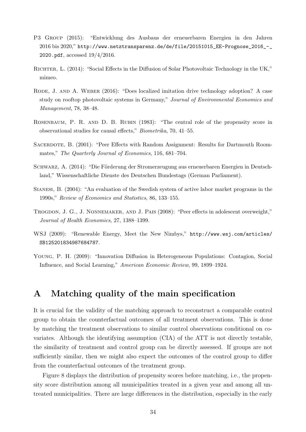- <span id="page-34-1"></span>P3 Group (2015): "Entwicklung des Ausbaus der erneuerbaren Energien in den Jahren 2016 bis 2020," [http://www.netztransparenz.de/de/file/20151015\\_EE-Prognose\\_2016\\_-\\_](http://www.netztransparenz.de/de/file/20151015_EE-Prognose_2016_-_2020.pdf) [2020.pdf](http://www.netztransparenz.de/de/file/20151015_EE-Prognose_2016_-_2020.pdf), accessed 19/4/2016.
- <span id="page-34-5"></span>Richter, L. (2014): "Social Effects in the Diffusion of Solar Photovoltaic Technology in the UK," mimeo.
- <span id="page-34-6"></span>RODE, J. AND A. WEBER (2016): "Does localized imitation drive technology adoption? A case study on rooftop photovoltaic systems in Germany," Journal of Environmental Economics and Management, 78, 38–48.
- <span id="page-34-8"></span>Rosenbaum, P. R. and D. B. Rubin (1983): "The central role of the propensity score in observational studies for causal effects," Biometrika, 70, 41–55.
- <span id="page-34-3"></span>SACERDOTE, B. (2001): "Peer Effects with Random Assignment: Results for Dartmouth Roommates," The Quarterly Journal of Economics, 116, 681–704.
- <span id="page-34-9"></span>SCHWARZ, A. (2014): "Die Förderung der Stromerzeugung aus erneuerbaren Energien in Deutschland," Wissenschaftliche Dienste des Deutschen Bundestags (German Parliament).
- <span id="page-34-7"></span>Sianesi, B. (2004): "An evaluation of the Swedish system of active labor market programs in the 1990s," Review of Economics and Statistics, 86, 133–155.
- <span id="page-34-2"></span>Trogdon, J. G., J. Nonnemaker, and J. Pais (2008): "Peer effects in adolescent overweight," Journal of Health Economics, 27, 1388–1399.
- <span id="page-34-0"></span>WSJ (2009): "Renewable Energy, Meet the New Nimbys," [http://www.wsj.com/articles/](http://www.wsj.com/articles/SB125201834987684787) [SB125201834987684787](http://www.wsj.com/articles/SB125201834987684787).
- <span id="page-34-4"></span>Young, P. H. (2009): "Innovation Diffusion in Heterogeneous Populations: Contagion, Social Influence, and Social Learning," American Economic Review, 99, 1899–1924.

## <span id="page-34-10"></span>A Matching quality of the main specification

It is crucial for the validity of the matching approach to reconstruct a comparable control group to obtain the counterfactual outcomes of all treatment observations. This is done by matching the treatment observations to similar control observations conditional on covariates. Although the identifying assumption (CIA) of the ATT is not directly testable, the similarity of treatment and control group can be directly assessed. If groups are not sufficiently similar, then we might also expect the outcomes of the control group to differ from the counterfactual outcomes of the treatment group.

Figure [8](#page-35-0) displays the distribution of propensity scores before matching, i.e., the propensity score distribution among all municipalities treated in a given year and among all untreated municipalities. There are large differences in the distribution, especially in the early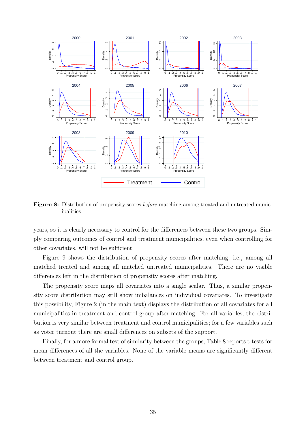<span id="page-35-0"></span>

Figure 8: Distribution of propensity scores *before* matching among treated and untreated municipalities

years, so it is clearly necessary to control for the differences between these two groups. Simply comparing outcomes of control and treatment municipalities, even when controlling for other covariates, will not be sufficient.

Figure [9](#page-36-1) shows the distribution of propensity scores after matching, i.e., among all matched treated and among all matched untreated municipalities. There are no visible differences left in the distribution of propensity scores after matching.

The propensity score maps all covariates into a single scalar. Thus, a similar propensity score distribution may still show imbalances on individual covariates. To investigate this possibility, Figure [2](#page-14-0) (in the main text) displays the distribution of all covariates for all municipalities in treatment and control group after matching. For all variables, the distribution is very similar between treatment and control municipalities; for a few variables such as voter turnout there are small differences on subsets of the support.

Finally, for a more formal test of similarity between the groups, Table [8](#page-37-0) reports t-tests for mean differences of all the variables. None of the variable means are significantly different between treatment and control group.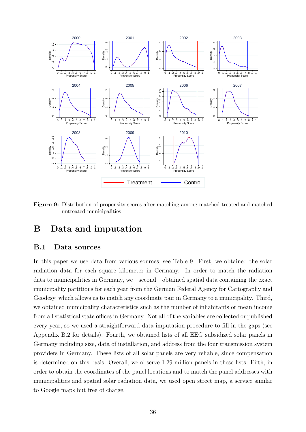<span id="page-36-1"></span>

Figure 9: Distribution of propensity scores after matching among matched treated and matched untreated municipalities

## B Data and imputation

#### <span id="page-36-0"></span>B.1 Data sources

In this paper we use data from various sources, see Table [9.](#page-37-1) First, we obtained the solar radiation data for each square kilometer in Germany. In order to match the radiation data to municipalities in Germany, we—second—obtained spatial data containing the exact municipality partitions for each year from the German Federal Agency for Cartography and Geodesy, which allows us to match any coordinate pair in Germany to a municipality. Third, we obtained municipality characteristics such as the number of inhabitants or mean income from all statistical state offices in Germany. Not all of the variables are collected or published every year, so we used a straightforward data imputation procedure to fill in the gaps (see Appendix [B.2](#page-37-2) for details). Fourth, we obtained lists of all EEG subsidized solar panels in Germany including size, data of installation, and address from the four transmission system providers in Germany. These lists of all solar panels are very reliable, since compensation is determined on this basis. Overall, we observe 1.29 million panels in these lists. Fifth, in order to obtain the coordinates of the panel locations and to match the panel addresses with municipalities and spatial solar radiation data, we used open street map, a service similar to Google maps but free of charge.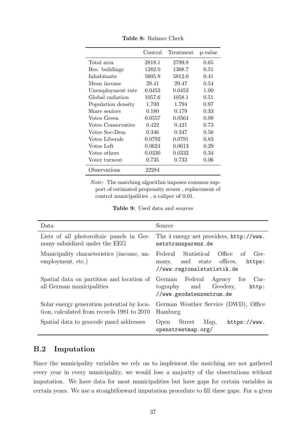<span id="page-37-0"></span>

|                    | Control | Treatment | p-value |
|--------------------|---------|-----------|---------|
| Total area         | 2818.1  | 2799.8    | 0.65    |
| Res. buildings     | 1282.0  | 1308.7    | 0.51    |
| Inhabitants        | 5605.8  | 5812.0    | 0.41    |
| Mean income        | 29.41   | 29.47     | 0.54    |
| Unemployment rate  | 0.0453  | 0.0453    | 1.00    |
| Global radiation   | 1057.6  | 1058.1    | 0.51    |
| Population density | 1.793   | 1.794     | 0.97    |
| Share seniors      | 0.180   | 0.179     | 0.33    |
| Votes Green        | 0.0557  | 0.0564    | 0.09    |
| Votes Conservative | 0.422   | 0.421     | 0.73    |
| Votes Soc-Dem      | 0.346   | 0.347     | 0.56    |
| Votes Liberals     | 0.0792  | 0.0791    | 0.83    |
| Votes Left         | 0.0624  | 0.0613    | 0.29    |
| Votes others       | 0.0330  | 0.0332    | 0.34    |
| Voter turnout      | 0.735   | 0.733     | 0.06    |
| Observations       | 22284   |           |         |

Table 8: Balance Check

Note: The matching algorithm imposes common support of estimated propensity scores , replacement of control municipalities , a caliper of 0.01.

| Table 9: Used data and sources |  |  |  |  |
|--------------------------------|--|--|--|--|
|--------------------------------|--|--|--|--|

<span id="page-37-1"></span>

| Data                                                                                     | Source                                                                                                         |  |  |  |
|------------------------------------------------------------------------------------------|----------------------------------------------------------------------------------------------------------------|--|--|--|
| Lists of all photovoltaic panels in Ger-<br>many subsidized under the EEG                | The 4 energy net providers, http://www.<br>netztransparenz.de                                                  |  |  |  |
| Municipality characteristics (income, un-<br>employment, etc.)                           | Statistical Office of<br>Federal<br>$Ger-$<br>many, and state offices,<br>https:<br>//www.regionalstatistik.de |  |  |  |
| Spatial data on partition and location of<br>all German municipalities                   | German Federal<br>Agency<br>$Car-$<br>for<br>and<br>Geodesy,<br>tography<br>http:<br>//www.geodatenzentrum.de  |  |  |  |
| Solar energy generation potential by loca-<br>tion, calculated from records 1981 to 2010 | German Weather Service (DWD), Office<br>Hamburg                                                                |  |  |  |
| Spatial data to geocode panel addresses                                                  | Street<br>Map,<br>Open<br>https://www.<br>openstreetmap.org/                                                   |  |  |  |

#### <span id="page-37-2"></span>B.2 Imputation

Since the municipality variables we rely on to implement the matching are not gathered every year in every municipality, we would lose a majority of the observations without imputation. We have data for most municipalities but have gaps for certain variables in certain years. We use a straightforward imputation procedure to fill these gaps. For a given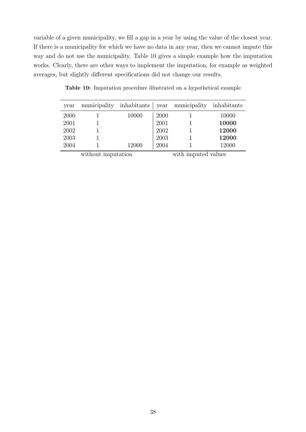variable of a given municipality, we fill a gap in a year by using the value of the closest year. If there is a municipality for which we have no data in any year, then we cannot impute this way and do not use the municipality. Table [10](#page-38-0) gives a simple example how the imputation works. Clearly, there are other ways to implement the imputation, for example as weighted averages, but slightly different specifications did not change our results.

| year               | municipality inhabitants |       |      | year municipality inhabitants |       |
|--------------------|--------------------------|-------|------|-------------------------------|-------|
| 2000               |                          | 10000 | 2000 |                               | 10000 |
| 2001               |                          |       | 2001 |                               | 10000 |
| 2002               |                          |       | 2002 |                               | 12000 |
| 2003               |                          |       | 2003 |                               | 12000 |
| 2004               |                          | 12000 | 2004 |                               | 12000 |
| without imputation |                          |       |      | with imputed values           |       |

<span id="page-38-0"></span>Table 10: Imputation procedure illustrated on a hypothetical example